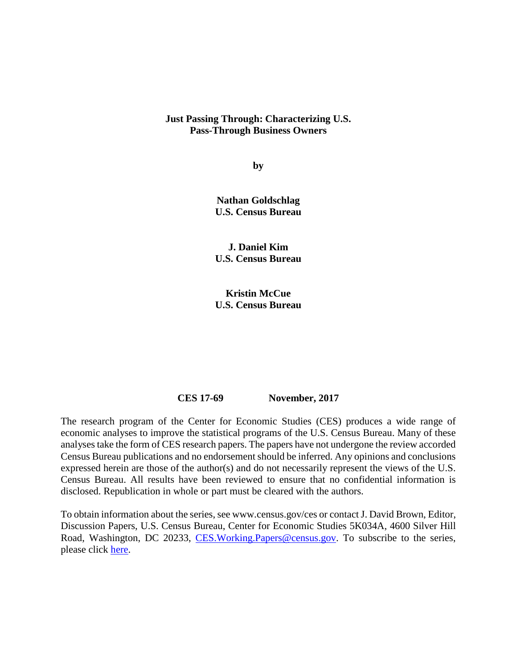#### **Just Passing Through: Characterizing U.S. Pass-Through Business Owners**

**by**

**Nathan Goldschlag U.S. Census Bureau**

**J. Daniel Kim U.S. Census Bureau**

**Kristin McCue U.S. Census Bureau**

#### **CES 17-69 November, 2017**

The research program of the Center for Economic Studies (CES) produces a wide range of economic analyses to improve the statistical programs of the U.S. Census Bureau. Many of these analyses take the form of CES research papers. The papers have not undergone the review accorded Census Bureau publications and no endorsement should be inferred. Any opinions and conclusions expressed herein are those of the author(s) and do not necessarily represent the views of the U.S. Census Bureau. All results have been reviewed to ensure that no confidential information is disclosed. Republication in whole or part must be cleared with the authors.

To obtain information about the series, see www.census.gov/ces or contact J. David Brown, Editor, Discussion Papers, U.S. Census Bureau, Center for Economic Studies 5K034A, 4600 Silver Hill Road, Washington, DC 20233, [CES.Working.Papers@census.gov.](mailto:CES.Working.Papers@census.gov) To subscribe to the series, please click [here.](https://public.govdelivery.com/accounts/USCENSUS/subscriber/new?topic_id=USCENSUS_11777)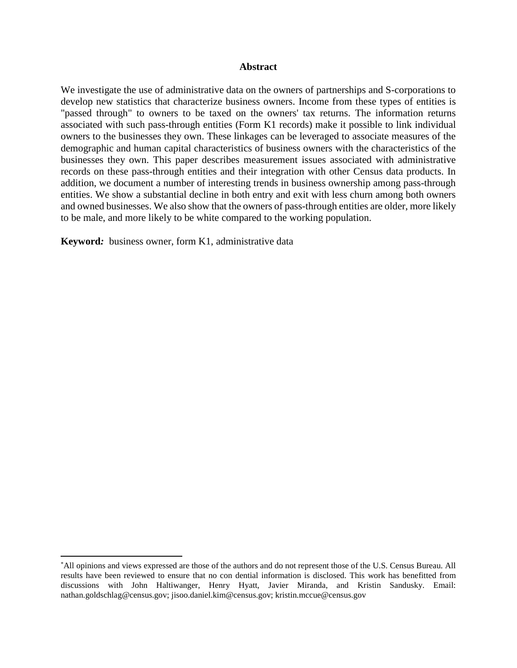#### **Abstract**

We investigate the use of administrative data on the owners of partnerships and S-corporations to develop new statistics that characterize business owners. Income from these types of entities is "passed through" to owners to be taxed on the owners' tax returns. The information returns associated with such pass-through entities (Form K1 records) make it possible to link individual owners to the businesses they own. These linkages can be leveraged to associate measures of the demographic and human capital characteristics of business owners with the characteristics of the businesses they own. This paper describes measurement issues associated with administrative records on these pass-through entities and their integration with other Census data products. In addition, we document a number of interesting trends in business ownership among pass-through entities. We show a substantial decline in both entry and exit with less churn among both owners and owned businesses. We also show that the owners of pass-through entities are older, more likely to be male, and more likely to be white compared to the working population.

**Keyword***:* business owner, form K1, administrative data

<span id="page-1-0"></span><sup>\*</sup> All opinions and views expressed are those of the authors and do not represent those of the U.S. Census Bureau. All results have been reviewed to ensure that no con dential information is disclosed. This work has benefitted from discussions with John Haltiwanger, Henry Hyatt, Javier Miranda, and Kristin Sandusky. Email: nathan.goldschlag@census.gov; jisoo.daniel.kim@census.gov; kristin.mccue@census.gov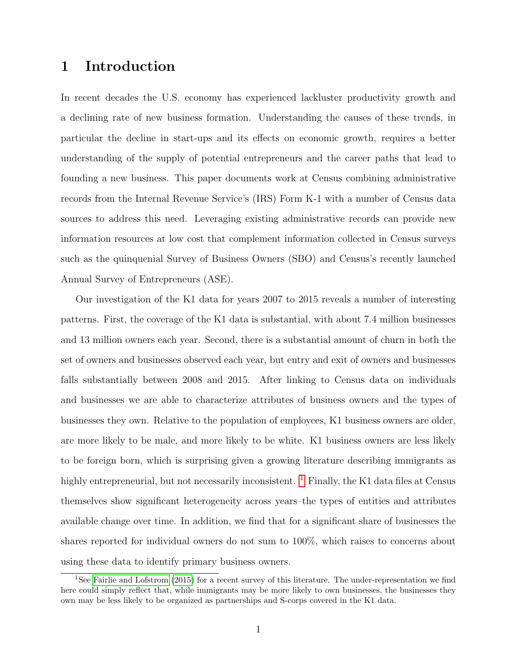## 1 Introduction

In recent decades the U.S. economy has experienced lackluster productivity growth and a declining rate of new business formation. Understanding the causes of these trends, in particular the decline in start-ups and its effects on economic growth, requires a better understanding of the supply of potential entrepreneurs and the career paths that lead to founding a new business. This paper documents work at Census combining administrative records from the Internal Revenue Service's (IRS) Form K-1 with a number of Census data sources to address this need. Leveraging existing administrative records can provide new information resources at low cost that complement information collected in Census surveys such as the quinquenial Survey of Business Owners (SBO) and Census's recently launched Annual Survey of Entrepreneurs (ASE).

Our investigation of the K1 data for years 2007 to 2015 reveals a number of interesting patterns. First, the coverage of the K1 data is substantial, with about 7.4 million businesses and 13 million owners each year. Second, there is a substantial amount of churn in both the set of owners and businesses observed each year, but entry and exit of owners and businesses falls substantially between 2008 and 2015. After linking to Census data on individuals and businesses we are able to characterize attributes of business owners and the types of businesses they own. Relative to the population of employees, K1 business owners are older, are more likely to be male, and more likely to be white. K1 business owners are less likely to be foreign born, which is surprising given a growing literature describing immigrants as highly entrepreneurial, but not necessarily inconsistent.  $1$  Finally, the K1 data files at Census themselves show significant heterogeneity across years–the types of entities and attributes available change over time. In addition, we find that for a significant share of businesses the shares reported for individual owners do not sum to 100%, which raises to concerns about using these data to identify primary business owners.

<span id="page-2-0"></span><sup>1</sup>See [Fairlie and Lofstrom](#page-18-0) [\(2015\)](#page-18-0) for a recent survey of this literature. The under-representation we find here could simply reflect that, while immigrants may be more likely to own businesses, the businesses they own may be less likely to be organized as partnerships and S-corps covered in the K1 data.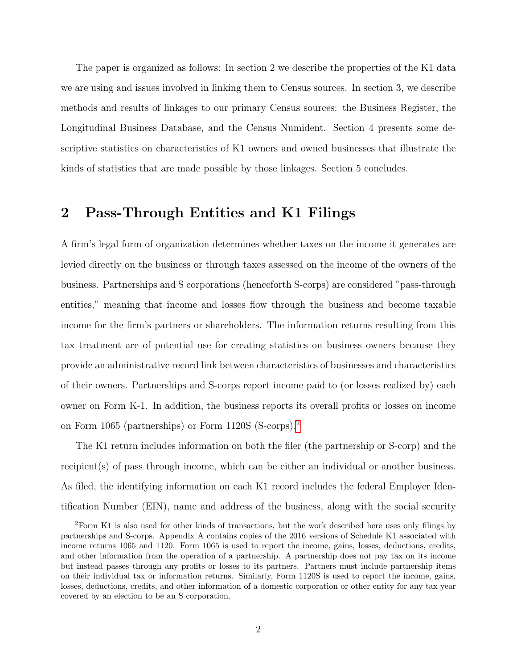The paper is organized as follows: In section 2 we describe the properties of the K1 data we are using and issues involved in linking them to Census sources. In section 3, we describe methods and results of linkages to our primary Census sources: the Business Register, the Longitudinal Business Database, and the Census Numident. Section 4 presents some descriptive statistics on characteristics of K1 owners and owned businesses that illustrate the kinds of statistics that are made possible by those linkages. Section 5 concludes.

## 2 Pass-Through Entities and K1 Filings

A firm's legal form of organization determines whether taxes on the income it generates are levied directly on the business or through taxes assessed on the income of the owners of the business. Partnerships and S corporations (henceforth S-corps) are considered "pass-through entities," meaning that income and losses flow through the business and become taxable income for the firm's partners or shareholders. The information returns resulting from this tax treatment are of potential use for creating statistics on business owners because they provide an administrative record link between characteristics of businesses and characteristics of their owners. Partnerships and S-corps report income paid to (or losses realized by) each owner on Form K-1. In addition, the business reports its overall profits or losses on income on Form 1065 (partnerships) or Form 1120S (S-corps).[2](#page-3-0)

The K1 return includes information on both the filer (the partnership or S-corp) and the recipient(s) of pass through income, which can be either an individual or another business. As filed, the identifying information on each K1 record includes the federal Employer Identification Number (EIN), name and address of the business, along with the social security

<span id="page-3-0"></span><sup>2</sup>Form K1 is also used for other kinds of transactions, but the work described here uses only filings by partnerships and S-corps. Appendix A contains copies of the 2016 versions of Schedule K1 associated with income returns 1065 and 1120. Form 1065 is used to report the income, gains, losses, deductions, credits, and other information from the operation of a partnership. A partnership does not pay tax on its income but instead passes through any profits or losses to its partners. Partners must include partnership items on their individual tax or information returns. Similarly, Form 1120S is used to report the income, gains, losses, deductions, credits, and other information of a domestic corporation or other entity for any tax year covered by an election to be an S corporation.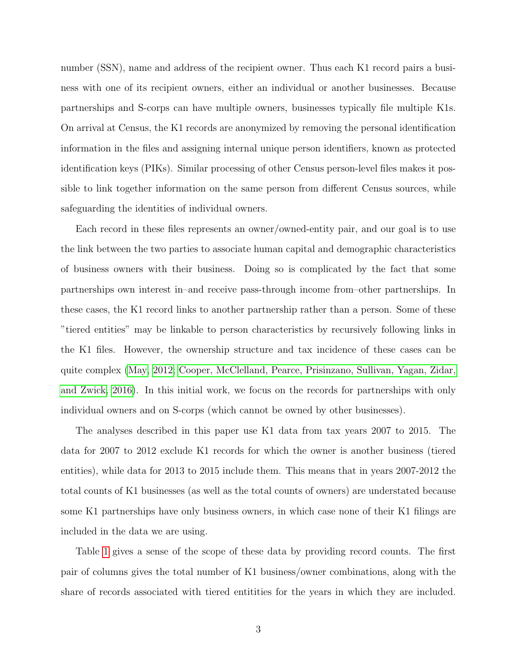number (SSN), name and address of the recipient owner. Thus each K1 record pairs a business with one of its recipient owners, either an individual or another businesses. Because partnerships and S-corps can have multiple owners, businesses typically file multiple K1s. On arrival at Census, the K1 records are anonymized by removing the personal identification information in the files and assigning internal unique person identifiers, known as protected identification keys (PIKs). Similar processing of other Census person-level files makes it possible to link together information on the same person from different Census sources, while safeguarding the identities of individual owners.

Each record in these files represents an owner/owned-entity pair, and our goal is to use the link between the two parties to associate human capital and demographic characteristics of business owners with their business. Doing so is complicated by the fact that some partnerships own interest in–and receive pass-through income from–other partnerships. In these cases, the K1 record links to another partnership rather than a person. Some of these "tiered entities" may be linkable to person characteristics by recursively following links in the K1 files. However, the ownership structure and tax incidence of these cases can be quite complex [\(May, 2012;](#page-18-1) [Cooper, McClelland, Pearce, Prisinzano, Sullivan, Yagan, Zidar,](#page-18-2) [and Zwick, 2016\)](#page-18-2). In this initial work, we focus on the records for partnerships with only individual owners and on S-corps (which cannot be owned by other businesses).

The analyses described in this paper use K1 data from tax years 2007 to 2015. The data for 2007 to 2012 exclude K1 records for which the owner is another business (tiered entities), while data for 2013 to 2015 include them. This means that in years 2007-2012 the total counts of K1 businesses (as well as the total counts of owners) are understated because some K1 partnerships have only business owners, in which case none of their K1 filings are included in the data we are using.

Table [1](#page-19-0) gives a sense of the scope of these data by providing record counts. The first pair of columns gives the total number of K1 business/owner combinations, along with the share of records associated with tiered entitities for the years in which they are included.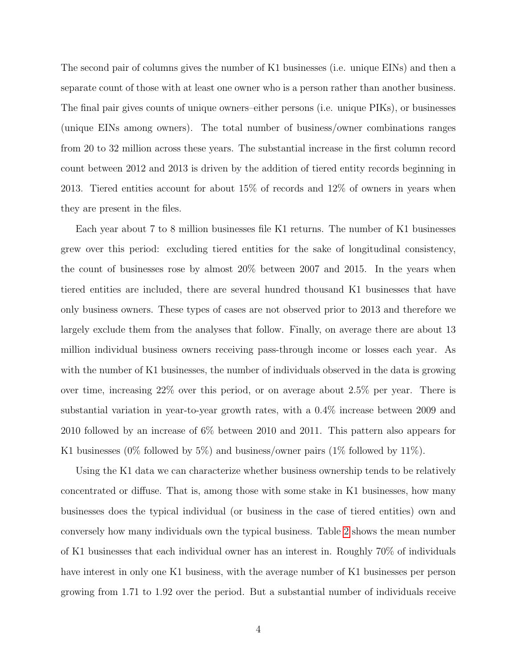The second pair of columns gives the number of K1 businesses (i.e. unique EINs) and then a separate count of those with at least one owner who is a person rather than another business. The final pair gives counts of unique owners–either persons (i.e. unique PIKs), or businesses (unique EINs among owners). The total number of business/owner combinations ranges from 20 to 32 million across these years. The substantial increase in the first column record count between 2012 and 2013 is driven by the addition of tiered entity records beginning in 2013. Tiered entities account for about 15% of records and 12% of owners in years when they are present in the files.

Each year about 7 to 8 million businesses file K1 returns. The number of K1 businesses grew over this period: excluding tiered entities for the sake of longitudinal consistency, the count of businesses rose by almost 20% between 2007 and 2015. In the years when tiered entities are included, there are several hundred thousand K1 businesses that have only business owners. These types of cases are not observed prior to 2013 and therefore we largely exclude them from the analyses that follow. Finally, on average there are about 13 million individual business owners receiving pass-through income or losses each year. As with the number of K1 businesses, the number of individuals observed in the data is growing over time, increasing 22% over this period, or on average about 2.5% per year. There is substantial variation in year-to-year growth rates, with a 0.4% increase between 2009 and 2010 followed by an increase of 6% between 2010 and 2011. This pattern also appears for K1 businesses (0% followed by 5%) and business/owner pairs (1% followed by 11%).

Using the K1 data we can characterize whether business ownership tends to be relatively concentrated or diffuse. That is, among those with some stake in K1 businesses, how many businesses does the typical individual (or business in the case of tiered entities) own and conversely how many individuals own the typical business. Table [2](#page-19-1) shows the mean number of K1 businesses that each individual owner has an interest in. Roughly 70% of individuals have interest in only one K1 business, with the average number of K1 businesses per person growing from 1.71 to 1.92 over the period. But a substantial number of individuals receive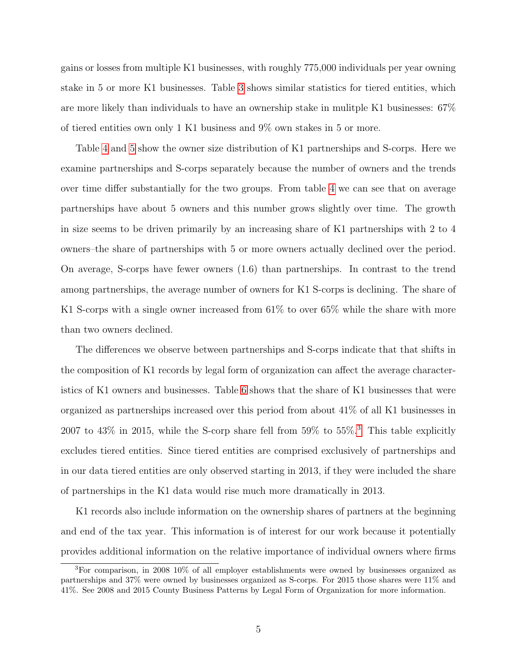gains or losses from multiple K1 businesses, with roughly 775,000 individuals per year owning stake in 5 or more K1 businesses. Table [3](#page-20-0) shows similar statistics for tiered entities, which are more likely than individuals to have an ownership stake in mulitple K1 businesses: 67% of tiered entities own only 1 K1 business and 9% own stakes in 5 or more.

Table [4](#page-20-1) and [5](#page-21-0) show the owner size distribution of K1 partnerships and S-corps. Here we examine partnerships and S-corps separately because the number of owners and the trends over time differ substantially for the two groups. From table [4](#page-20-1) we can see that on average partnerships have about 5 owners and this number grows slightly over time. The growth in size seems to be driven primarily by an increasing share of K1 partnerships with 2 to 4 owners–the share of partnerships with 5 or more owners actually declined over the period. On average, S-corps have fewer owners (1.6) than partnerships. In contrast to the trend among partnerships, the average number of owners for K1 S-corps is declining. The share of K1 S-corps with a single owner increased from 61% to over 65% while the share with more than two owners declined.

The differences we observe between partnerships and S-corps indicate that that shifts in the composition of K1 records by legal form of organization can affect the average characteristics of K1 owners and businesses. Table [6](#page-21-1) shows that the share of K1 businesses that were organized as partnerships increased over this period from about 41% of all K1 businesses in 2007 to 4[3](#page-6-0)% in 2015, while the S-corp share fell from 59% to 55%.<sup>3</sup> This table explicitly excludes tiered entities. Since tiered entities are comprised exclusively of partnerships and in our data tiered entities are only observed starting in 2013, if they were included the share of partnerships in the K1 data would rise much more dramatically in 2013.

K1 records also include information on the ownership shares of partners at the beginning and end of the tax year. This information is of interest for our work because it potentially provides additional information on the relative importance of individual owners where firms

<span id="page-6-0"></span><sup>3</sup>For comparison, in 2008 10% of all employer establishments were owned by businesses organized as partnerships and 37% were owned by businesses organized as S-corps. For 2015 those shares were 11% and 41%. See 2008 and 2015 County Business Patterns by Legal Form of Organization for more information.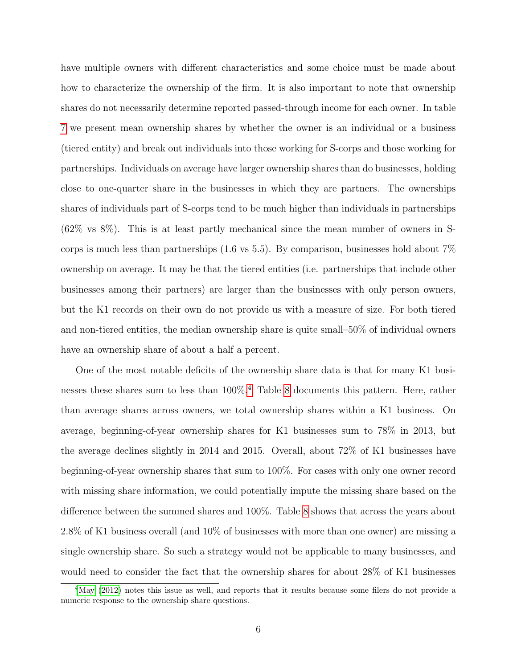have multiple owners with different characteristics and some choice must be made about how to characterize the ownership of the firm. It is also important to note that ownership shares do not necessarily determine reported passed-through income for each owner. In table [7](#page-22-0) we present mean ownership shares by whether the owner is an individual or a business (tiered entity) and break out individuals into those working for S-corps and those working for partnerships. Individuals on average have larger ownership shares than do businesses, holding close to one-quarter share in the businesses in which they are partners. The ownerships shares of individuals part of S-corps tend to be much higher than individuals in partnerships (62% vs 8%). This is at least partly mechanical since the mean number of owners in Scorps is much less than partnerships  $(1.6 \text{ vs } 5.5)$ . By comparison, businesses hold about  $7\%$ ownership on average. It may be that the tiered entities (i.e. partnerships that include other businesses among their partners) are larger than the businesses with only person owners, but the K1 records on their own do not provide us with a measure of size. For both tiered and non-tiered entities, the median ownership share is quite small–50% of individual owners have an ownership share of about a half a percent.

One of the most notable deficits of the ownership share data is that for many K1 businesses these shares sum to less than 100%.[4](#page-7-0) Table [8](#page-22-1) documents this pattern. Here, rather than average shares across owners, we total ownership shares within a K1 business. On average, beginning-of-year ownership shares for K1 businesses sum to 78% in 2013, but the average declines slightly in 2014 and 2015. Overall, about 72% of K1 businesses have beginning-of-year ownership shares that sum to 100%. For cases with only one owner record with missing share information, we could potentially impute the missing share based on the difference between the summed shares and 100%. Table [8](#page-22-1) shows that across the years about 2.8% of K1 business overall (and 10% of businesses with more than one owner) are missing a single ownership share. So such a strategy would not be applicable to many businesses, and would need to consider the fact that the ownership shares for about 28% of K1 businesses

<span id="page-7-0"></span><sup>&</sup>lt;sup>4</sup>[May](#page-18-1) [\(2012\)](#page-18-1) notes this issue as well, and reports that it results because some filers do not provide a numeric response to the ownership share questions.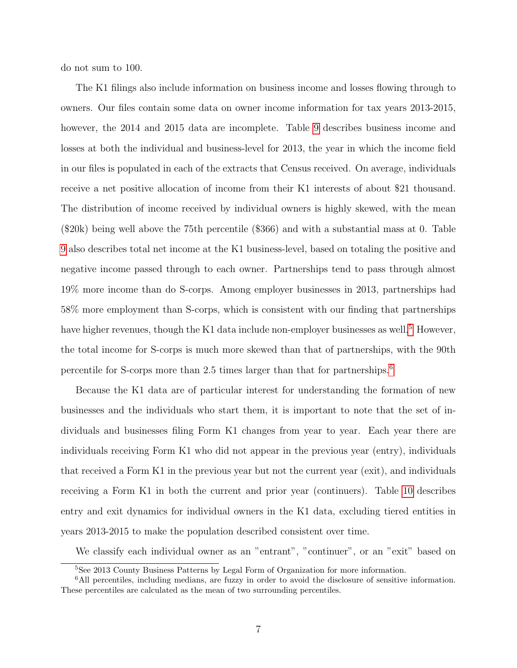do not sum to 100.

The K1 filings also include information on business income and losses flowing through to owners. Our files contain some data on owner income information for tax years 2013-2015, however, the 2014 and 2015 data are incomplete. Table [9](#page-23-0) describes business income and losses at both the individual and business-level for 2013, the year in which the income field in our files is populated in each of the extracts that Census received. On average, individuals receive a net positive allocation of income from their K1 interests of about \$21 thousand. The distribution of income received by individual owners is highly skewed, with the mean (\$20k) being well above the 75th percentile (\$366) and with a substantial mass at 0. Table [9](#page-23-0) also describes total net income at the K1 business-level, based on totaling the positive and negative income passed through to each owner. Partnerships tend to pass through almost 19% more income than do S-corps. Among employer businesses in 2013, partnerships had 58% more employment than S-corps, which is consistent with our finding that partnerships have higher revenues, though the K1 data include non-employer businesses as well.<sup>[5](#page-8-0)</sup> However, the total income for S-corps is much more skewed than that of partnerships, with the 90th percentile for S-corps more than 2.5 times larger than that for partnerships.[6](#page-8-1)

Because the K1 data are of particular interest for understanding the formation of new businesses and the individuals who start them, it is important to note that the set of individuals and businesses filing Form K1 changes from year to year. Each year there are individuals receiving Form K1 who did not appear in the previous year (entry), individuals that received a Form K1 in the previous year but not the current year (exit), and individuals receiving a Form K1 in both the current and prior year (continuers). Table [10](#page-23-1) describes entry and exit dynamics for individual owners in the K1 data, excluding tiered entities in years 2013-2015 to make the population described consistent over time.

We classify each individual owner as an "entrant", "continuer", or an "exit" based on

<span id="page-8-1"></span><span id="page-8-0"></span><sup>5</sup>See 2013 County Business Patterns by Legal Form of Organization for more information.

<sup>6</sup>All percentiles, including medians, are fuzzy in order to avoid the disclosure of sensitive information. These percentiles are calculated as the mean of two surrounding percentiles.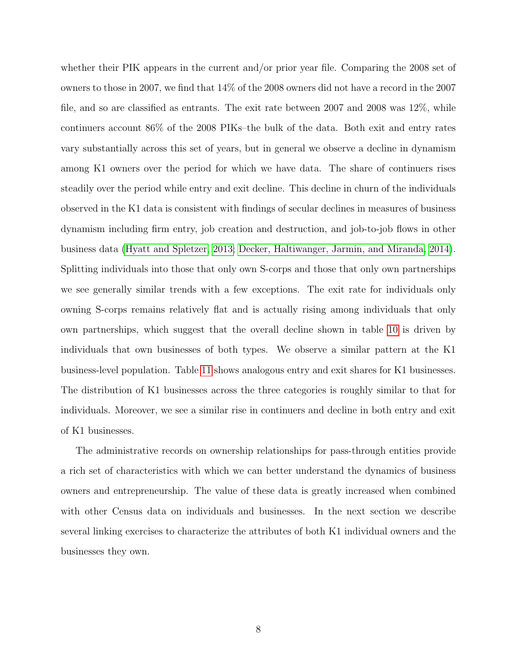whether their PIK appears in the current and/or prior year file. Comparing the 2008 set of owners to those in 2007, we find that 14% of the 2008 owners did not have a record in the 2007 file, and so are classified as entrants. The exit rate between 2007 and 2008 was 12%, while continuers account 86% of the 2008 PIKs–the bulk of the data. Both exit and entry rates vary substantially across this set of years, but in general we observe a decline in dynamism among K1 owners over the period for which we have data. The share of continuers rises steadily over the period while entry and exit decline. This decline in churn of the individuals observed in the K1 data is consistent with findings of secular declines in measures of business dynamism including firm entry, job creation and destruction, and job-to-job flows in other business data [\(Hyatt and Spletzer, 2013;](#page-18-3) [Decker, Haltiwanger, Jarmin, and Miranda, 2014\)](#page-18-4). Splitting individuals into those that only own S-corps and those that only own partnerships we see generally similar trends with a few exceptions. The exit rate for individuals only owning S-corps remains relatively flat and is actually rising among individuals that only own partnerships, which suggest that the overall decline shown in table [10](#page-23-1) is driven by individuals that own businesses of both types. We observe a similar pattern at the K1 business-level population. Table [11](#page-24-0) shows analogous entry and exit shares for K1 businesses. The distribution of K1 businesses across the three categories is roughly similar to that for individuals. Moreover, we see a similar rise in continuers and decline in both entry and exit of K1 businesses.

The administrative records on ownership relationships for pass-through entities provide a rich set of characteristics with which we can better understand the dynamics of business owners and entrepreneurship. The value of these data is greatly increased when combined with other Census data on individuals and businesses. In the next section we describe several linking exercises to characterize the attributes of both K1 individual owners and the businesses they own.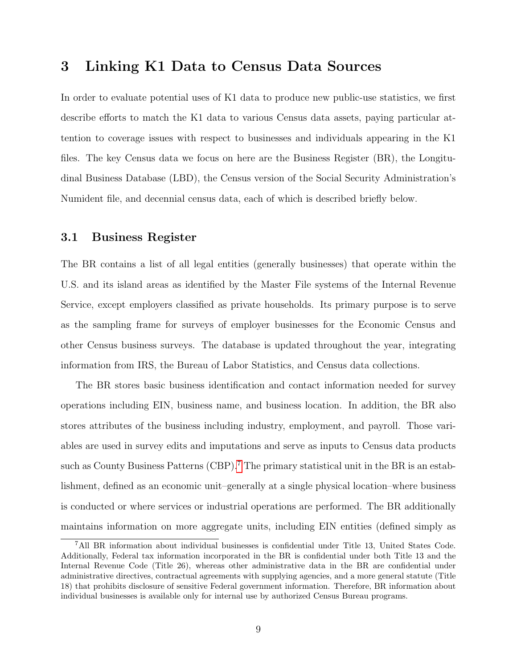## 3 Linking K1 Data to Census Data Sources

In order to evaluate potential uses of K1 data to produce new public-use statistics, we first describe efforts to match the K1 data to various Census data assets, paying particular attention to coverage issues with respect to businesses and individuals appearing in the K1 files. The key Census data we focus on here are the Business Register (BR), the Longitudinal Business Database (LBD), the Census version of the Social Security Administration's Numident file, and decennial census data, each of which is described briefly below.

#### 3.1 Business Register

The BR contains a list of all legal entities (generally businesses) that operate within the U.S. and its island areas as identified by the Master File systems of the Internal Revenue Service, except employers classified as private households. Its primary purpose is to serve as the sampling frame for surveys of employer businesses for the Economic Census and other Census business surveys. The database is updated throughout the year, integrating information from IRS, the Bureau of Labor Statistics, and Census data collections.

The BR stores basic business identification and contact information needed for survey operations including EIN, business name, and business location. In addition, the BR also stores attributes of the business including industry, employment, and payroll. Those variables are used in survey edits and imputations and serve as inputs to Census data products such as County Business Patterns  $(CBP)$ .<sup>[7](#page-10-0)</sup> The primary statistical unit in the BR is an establishment, defined as an economic unit–generally at a single physical location–where business is conducted or where services or industrial operations are performed. The BR additionally maintains information on more aggregate units, including EIN entities (defined simply as

<span id="page-10-0"></span><sup>7</sup>All BR information about individual businesses is confidential under Title 13, United States Code. Additionally, Federal tax information incorporated in the BR is confidential under both Title 13 and the Internal Revenue Code (Title 26), whereas other administrative data in the BR are confidential under administrative directives, contractual agreements with supplying agencies, and a more general statute (Title 18) that prohibits disclosure of sensitive Federal government information. Therefore, BR information about individual businesses is available only for internal use by authorized Census Bureau programs.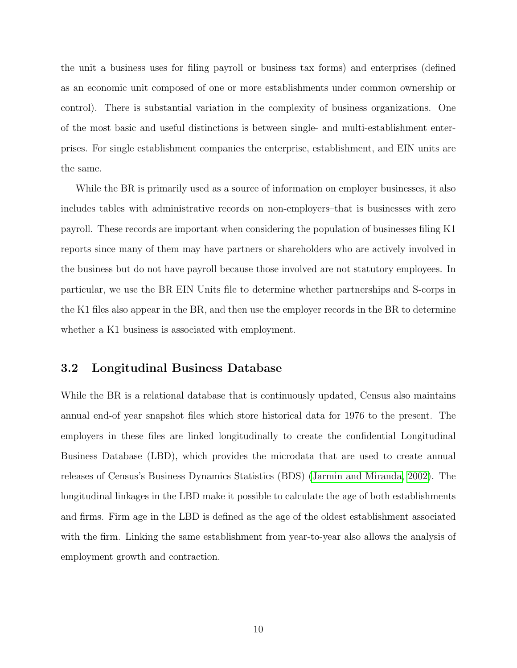the unit a business uses for filing payroll or business tax forms) and enterprises (defined as an economic unit composed of one or more establishments under common ownership or control). There is substantial variation in the complexity of business organizations. One of the most basic and useful distinctions is between single- and multi-establishment enterprises. For single establishment companies the enterprise, establishment, and EIN units are the same.

While the BR is primarily used as a source of information on employer businesses, it also includes tables with administrative records on non-employers–that is businesses with zero payroll. These records are important when considering the population of businesses filing K1 reports since many of them may have partners or shareholders who are actively involved in the business but do not have payroll because those involved are not statutory employees. In particular, we use the BR EIN Units file to determine whether partnerships and S-corps in the K1 files also appear in the BR, and then use the employer records in the BR to determine whether a K1 business is associated with employment.

#### 3.2 Longitudinal Business Database

While the BR is a relational database that is continuously updated, Census also maintains annual end-of year snapshot files which store historical data for 1976 to the present. The employers in these files are linked longitudinally to create the confidential Longitudinal Business Database (LBD), which provides the microdata that are used to create annual releases of Census's Business Dynamics Statistics (BDS) [\(Jarmin and Miranda, 2002\)](#page-18-5). The longitudinal linkages in the LBD make it possible to calculate the age of both establishments and firms. Firm age in the LBD is defined as the age of the oldest establishment associated with the firm. Linking the same establishment from year-to-year also allows the analysis of employment growth and contraction.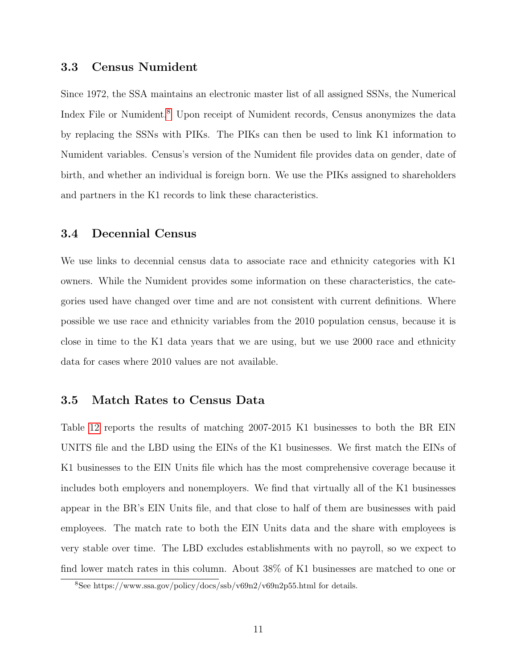#### 3.3 Census Numident

Since 1972, the SSA maintains an electronic master list of all assigned SSNs, the Numerical Index File or Numident.<sup>[8](#page-12-0)</sup> Upon receipt of Numident records, Census anonymizes the data by replacing the SSNs with PIKs. The PIKs can then be used to link K1 information to Numident variables. Census's version of the Numident file provides data on gender, date of birth, and whether an individual is foreign born. We use the PIKs assigned to shareholders and partners in the K1 records to link these characteristics.

### 3.4 Decennial Census

We use links to decennial census data to associate race and ethnicity categories with K1 owners. While the Numident provides some information on these characteristics, the categories used have changed over time and are not consistent with current definitions. Where possible we use race and ethnicity variables from the 2010 population census, because it is close in time to the K1 data years that we are using, but we use 2000 race and ethnicity data for cases where 2010 values are not available.

#### 3.5 Match Rates to Census Data

Table [12](#page-24-1) reports the results of matching 2007-2015 K1 businesses to both the BR EIN UNITS file and the LBD using the EINs of the K1 businesses. We first match the EINs of K1 businesses to the EIN Units file which has the most comprehensive coverage because it includes both employers and nonemployers. We find that virtually all of the K1 businesses appear in the BR's EIN Units file, and that close to half of them are businesses with paid employees. The match rate to both the EIN Units data and the share with employees is very stable over time. The LBD excludes establishments with no payroll, so we expect to find lower match rates in this column. About 38% of K1 businesses are matched to one or

<span id="page-12-0"></span><sup>8</sup>See https://www.ssa.gov/policy/docs/ssb/v69n2/v69n2p55.html for details.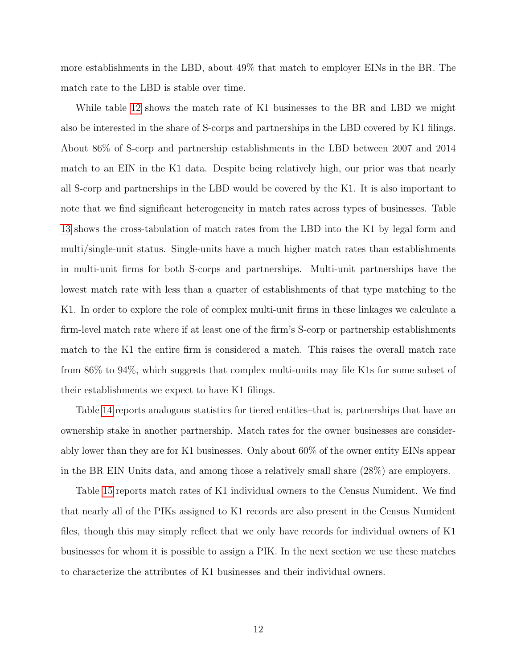more establishments in the LBD, about 49% that match to employer EINs in the BR. The match rate to the LBD is stable over time.

While table [12](#page-24-1) shows the match rate of K1 businesses to the BR and LBD we might also be interested in the share of S-corps and partnerships in the LBD covered by K1 filings. About 86% of S-corp and partnership establishments in the LBD between 2007 and 2014 match to an EIN in the K1 data. Despite being relatively high, our prior was that nearly all S-corp and partnerships in the LBD would be covered by the K1. It is also important to note that we find significant heterogeneity in match rates across types of businesses. Table [13](#page-25-0) shows the cross-tabulation of match rates from the LBD into the K1 by legal form and multi/single-unit status. Single-units have a much higher match rates than establishments in multi-unit firms for both S-corps and partnerships. Multi-unit partnerships have the lowest match rate with less than a quarter of establishments of that type matching to the K1. In order to explore the role of complex multi-unit firms in these linkages we calculate a firm-level match rate where if at least one of the firm's S-corp or partnership establishments match to the K1 the entire firm is considered a match. This raises the overall match rate from 86% to 94%, which suggests that complex multi-units may file K1s for some subset of their establishments we expect to have K1 filings.

Table [14](#page-25-1) reports analogous statistics for tiered entities–that is, partnerships that have an ownership stake in another partnership. Match rates for the owner businesses are considerably lower than they are for K1 businesses. Only about 60% of the owner entity EINs appear in the BR EIN Units data, and among those a relatively small share (28%) are employers.

Table [15](#page-26-0) reports match rates of K1 individual owners to the Census Numident. We find that nearly all of the PIKs assigned to K1 records are also present in the Census Numident files, though this may simply reflect that we only have records for individual owners of K1 businesses for whom it is possible to assign a PIK. In the next section we use these matches to characterize the attributes of K1 businesses and their individual owners.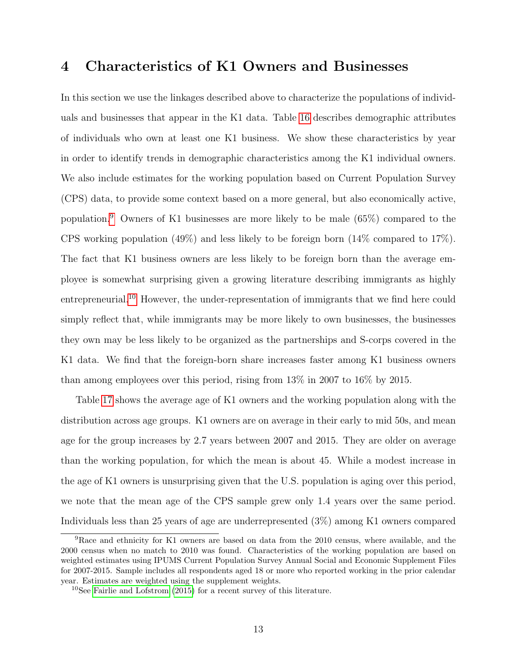## 4 Characteristics of K1 Owners and Businesses

In this section we use the linkages described above to characterize the populations of individuals and businesses that appear in the K1 data. Table [16](#page-26-1) describes demographic attributes of individuals who own at least one K1 business. We show these characteristics by year in order to identify trends in demographic characteristics among the K1 individual owners. We also include estimates for the working population based on Current Population Survey (CPS) data, to provide some context based on a more general, but also economically active, population.[9](#page-14-0) Owners of K1 businesses are more likely to be male (65%) compared to the CPS working population (49%) and less likely to be foreign born (14% compared to 17%). The fact that K1 business owners are less likely to be foreign born than the average employee is somewhat surprising given a growing literature describing immigrants as highly entrepreneurial.<sup>[10](#page-14-1)</sup> However, the under-representation of immigrants that we find here could simply reflect that, while immigrants may be more likely to own businesses, the businesses they own may be less likely to be organized as the partnerships and S-corps covered in the K1 data. We find that the foreign-born share increases faster among K1 business owners than among employees over this period, rising from 13% in 2007 to 16% by 2015.

Table [17](#page-27-0) shows the average age of K1 owners and the working population along with the distribution across age groups. K1 owners are on average in their early to mid 50s, and mean age for the group increases by 2.7 years between 2007 and 2015. They are older on average than the working population, for which the mean is about 45. While a modest increase in the age of K1 owners is unsurprising given that the U.S. population is aging over this period, we note that the mean age of the CPS sample grew only 1.4 years over the same period. Individuals less than 25 years of age are underrepresented (3%) among K1 owners compared

<span id="page-14-0"></span><sup>9</sup>Race and ethnicity for K1 owners are based on data from the 2010 census, where available, and the 2000 census when no match to 2010 was found. Characteristics of the working population are based on weighted estimates using IPUMS Current Population Survey Annual Social and Economic Supplement Files for 2007-2015. Sample includes all respondents aged 18 or more who reported working in the prior calendar year. Estimates are weighted using the supplement weights.

<span id="page-14-1"></span><sup>10</sup>See [Fairlie and Lofstrom](#page-18-0) [\(2015\)](#page-18-0) for a recent survey of this literature.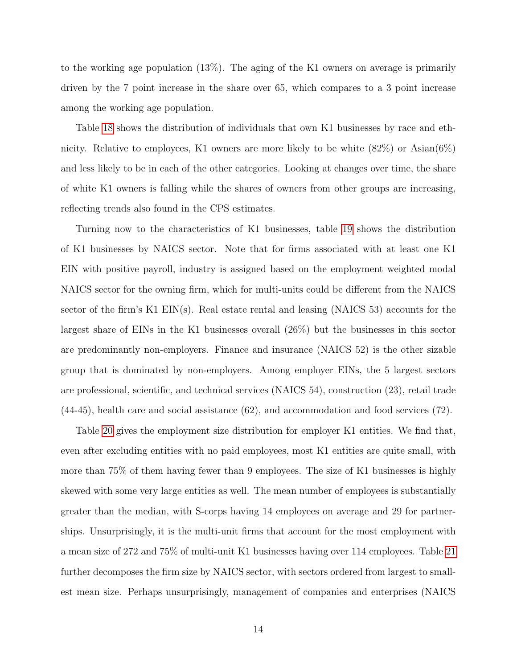to the working age population (13%). The aging of the K1 owners on average is primarily driven by the 7 point increase in the share over 65, which compares to a 3 point increase among the working age population.

Table [18](#page-28-0) shows the distribution of individuals that own K1 businesses by race and ethnicity. Relative to employees, K1 owners are more likely to be white  $(82\%)$  or Asian $(6\%)$ and less likely to be in each of the other categories. Looking at changes over time, the share of white K1 owners is falling while the shares of owners from other groups are increasing, reflecting trends also found in the CPS estimates.

Turning now to the characteristics of K1 businesses, table [19](#page-29-0) shows the distribution of K1 businesses by NAICS sector. Note that for firms associated with at least one K1 EIN with positive payroll, industry is assigned based on the employment weighted modal NAICS sector for the owning firm, which for multi-units could be different from the NAICS sector of the firm's K1 EIN(s). Real estate rental and leasing (NAICS 53) accounts for the largest share of EINs in the K1 businesses overall (26%) but the businesses in this sector are predominantly non-employers. Finance and insurance (NAICS 52) is the other sizable group that is dominated by non-employers. Among employer EINs, the 5 largest sectors are professional, scientific, and technical services (NAICS 54), construction (23), retail trade (44-45), health care and social assistance (62), and accommodation and food services (72).

Table [20](#page-30-0) gives the employment size distribution for employer K1 entities. We find that, even after excluding entities with no paid employees, most K1 entities are quite small, with more than 75% of them having fewer than 9 employees. The size of K1 businesses is highly skewed with some very large entities as well. The mean number of employees is substantially greater than the median, with S-corps having 14 employees on average and 29 for partnerships. Unsurprisingly, it is the multi-unit firms that account for the most employment with a mean size of 272 and 75% of multi-unit K1 businesses having over 114 employees. Table [21](#page-31-0) further decomposes the firm size by NAICS sector, with sectors ordered from largest to smallest mean size. Perhaps unsurprisingly, management of companies and enterprises (NAICS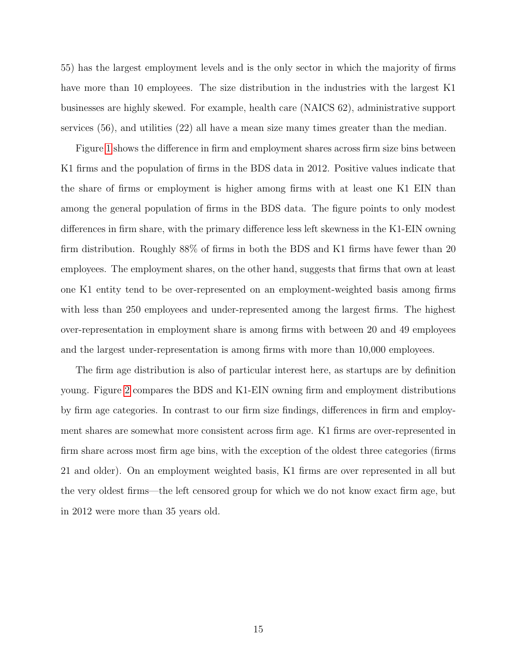55) has the largest employment levels and is the only sector in which the majority of firms have more than 10 employees. The size distribution in the industries with the largest K1 businesses are highly skewed. For example, health care (NAICS 62), administrative support services (56), and utilities (22) all have a mean size many times greater than the median.

Figure [1](#page-32-0) shows the difference in firm and employment shares across firm size bins between K1 firms and the population of firms in the BDS data in 2012. Positive values indicate that the share of firms or employment is higher among firms with at least one K1 EIN than among the general population of firms in the BDS data. The figure points to only modest differences in firm share, with the primary difference less left skewness in the K1-EIN owning firm distribution. Roughly 88% of firms in both the BDS and K1 firms have fewer than 20 employees. The employment shares, on the other hand, suggests that firms that own at least one K1 entity tend to be over-represented on an employment-weighted basis among firms with less than 250 employees and under-represented among the largest firms. The highest over-representation in employment share is among firms with between 20 and 49 employees and the largest under-representation is among firms with more than 10,000 employees.

The firm age distribution is also of particular interest here, as startups are by definition young. Figure [2](#page-33-0) compares the BDS and K1-EIN owning firm and employment distributions by firm age categories. In contrast to our firm size findings, differences in firm and employment shares are somewhat more consistent across firm age. K1 firms are over-represented in firm share across most firm age bins, with the exception of the oldest three categories (firms 21 and older). On an employment weighted basis, K1 firms are over represented in all but the very oldest firms—the left censored group for which we do not know exact firm age, but in 2012 were more than 35 years old.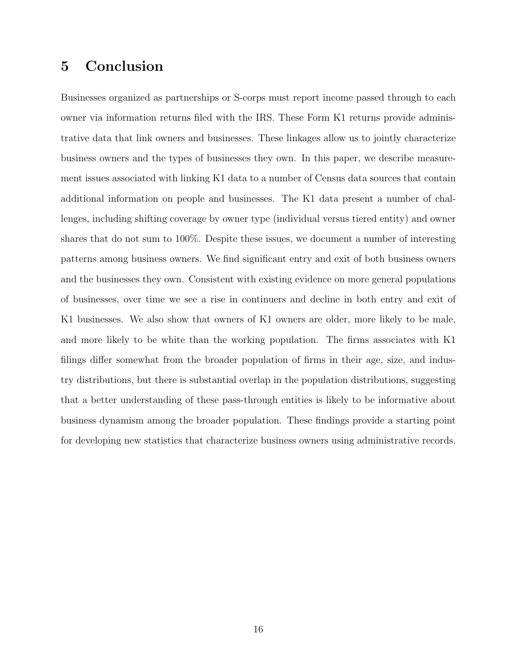## 5 Conclusion

Businesses organized as partnerships or S-corps must report income passed through to each owner via information returns filed with the IRS. These Form K1 returns provide administrative data that link owners and businesses. These linkages allow us to jointly characterize business owners and the types of businesses they own. In this paper, we describe measurement issues associated with linking K1 data to a number of Census data sources that contain additional information on people and businesses. The K1 data present a number of challenges, including shifting coverage by owner type (individual versus tiered entity) and owner shares that do not sum to 100%. Despite these issues, we document a number of interesting patterns among business owners. We find significant entry and exit of both business owners and the businesses they own. Consistent with existing evidence on more general populations of businesses, over time we see a rise in continuers and decline in both entry and exit of K1 businesses. We also show that owners of K1 owners are older, more likely to be male, and more likely to be white than the working population. The firms associates with K1 filings differ somewhat from the broader population of firms in their age, size, and industry distributions, but there is substantial overlap in the population distributions, suggesting that a better understanding of these pass-through entities is likely to be informative about business dynamism among the broader population. These findings provide a starting point for developing new statistics that characterize business owners using administrative records.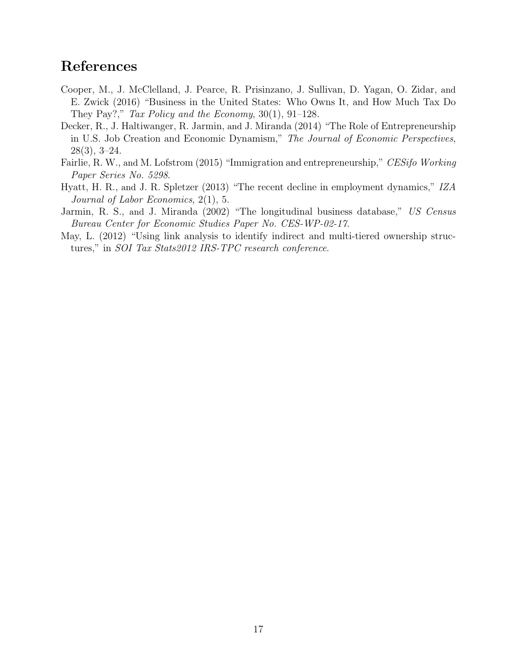## References

- <span id="page-18-2"></span>Cooper, M., J. McClelland, J. Pearce, R. Prisinzano, J. Sullivan, D. Yagan, O. Zidar, and E. Zwick (2016) "Business in the United States: Who Owns It, and How Much Tax Do They Pay?," Tax Policy and the Economy,  $30(1)$ ,  $91-128$ .
- <span id="page-18-4"></span>Decker, R., J. Haltiwanger, R. Jarmin, and J. Miranda (2014) "The Role of Entrepreneurship in U.S. Job Creation and Economic Dynamism," The Journal of Economic Perspectives, 28(3), 3–24.
- <span id="page-18-0"></span>Fairlie, R. W., and M. Lofstrom (2015) "Immigration and entrepreneurship," CESifo Working Paper Series No. 5298.
- <span id="page-18-3"></span>Hyatt, H. R., and J. R. Spletzer (2013) "The recent decline in employment dynamics," IZA Journal of Labor Economics, 2(1), 5.
- <span id="page-18-5"></span>Jarmin, R. S., and J. Miranda (2002) "The longitudinal business database," US Census Bureau Center for Economic Studies Paper No. CES-WP-02-17.
- <span id="page-18-1"></span>May, L. (2012) "Using link analysis to identify indirect and multi-tiered ownership structures," in SOI Tax Stats2012 IRS-TPC research conference.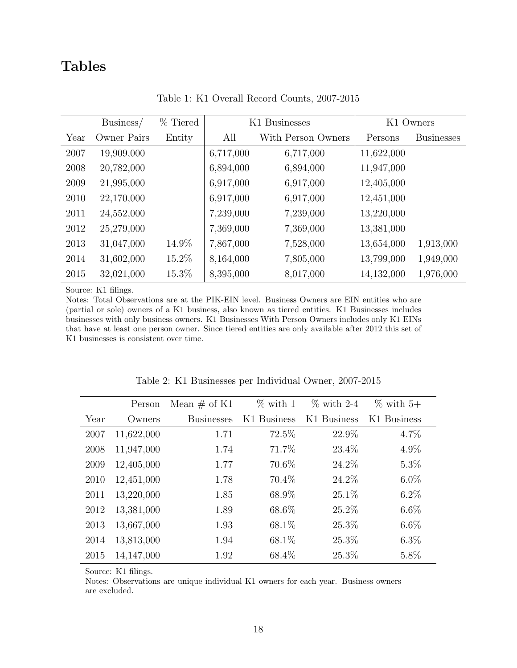## Tables

<span id="page-19-0"></span>

|      | Business/   | % Tiered | K1 Businesses<br>K1 Owners |                    |            |                   |
|------|-------------|----------|----------------------------|--------------------|------------|-------------------|
| Year | Owner Pairs | Entity   | All                        | With Person Owners | Persons    | <b>Businesses</b> |
| 2007 | 19,909,000  |          | 6,717,000                  | 6,717,000          | 11,622,000 |                   |
| 2008 | 20,782,000  |          | 6,894,000                  | 6,894,000          | 11,947,000 |                   |
| 2009 | 21,995,000  |          | 6,917,000                  | 6,917,000          | 12,405,000 |                   |
| 2010 | 22,170,000  |          | 6,917,000                  | 6,917,000          | 12,451,000 |                   |
| 2011 | 24,552,000  |          | 7,239,000                  | 7,239,000          | 13,220,000 |                   |
| 2012 | 25,279,000  |          | 7,369,000                  | 7,369,000          | 13,381,000 |                   |
| 2013 | 31,047,000  | 14.9%    | 7,867,000                  | 7,528,000          | 13,654,000 | 1,913,000         |
| 2014 | 31,602,000  | 15.2%    | 8,164,000                  | 7,805,000          | 13,799,000 | 1,949,000         |
| 2015 | 32,021,000  | 15.3%    | 8,395,000                  | 8,017,000          | 14,132,000 | 1,976,000         |

Table 1: K1 Overall Record Counts, 2007-2015

Source: K1 filings.

Notes: Total Observations are at the PIK-EIN level. Business Owners are EIN entities who are (partial or sole) owners of a K1 business, also known as tiered entities. K1 Businesses includes businesses with only business owners. K1 Businesses With Person Owners includes only K1 EINs that have at least one person owner. Since tiered entities are only available after 2012 this set of K1 businesses is consistent over time.

<span id="page-19-1"></span>

|      | Person     | Mean $\#$ of K1   | $\%$ with 1 | $\%$ with 2-4 | $\%$ with 5+ |
|------|------------|-------------------|-------------|---------------|--------------|
| Year | Owners     | <b>Businesses</b> | K1 Business | K1 Business   | K1 Business  |
| 2007 | 11,622,000 | 1.71              | 72.5%       | 22.9%         | 4.7%         |
| 2008 | 11,947,000 | 1.74              | 71.7%       | 23.4%         | 4.9%         |
| 2009 | 12,405,000 | 1.77              | 70.6%       | 24.2%         | $5.3\%$      |
| 2010 | 12,451,000 | 1.78              | 70.4\%      | 24.2%         | $6.0\%$      |
| 2011 | 13,220,000 | 1.85              | 68.9%       | $25.1\%$      | $6.2\%$      |
| 2012 | 13,381,000 | 1.89              | 68.6%       | 25.2%         | $6.6\%$      |
| 2013 | 13,667,000 | 1.93              | 68.1%       | 25.3%         | $6.6\%$      |
| 2014 | 13,813,000 | 1.94              | 68.1%       | 25.3%         | $6.3\%$      |
| 2015 | 14,147,000 | 1.92              | 68.4\%      | 25.3%         | 5.8%         |

Table 2: K1 Businesses per Individual Owner, 2007-2015

Source: K1 filings.

Notes: Observations are unique individual K1 owners for each year. Business owners are excluded.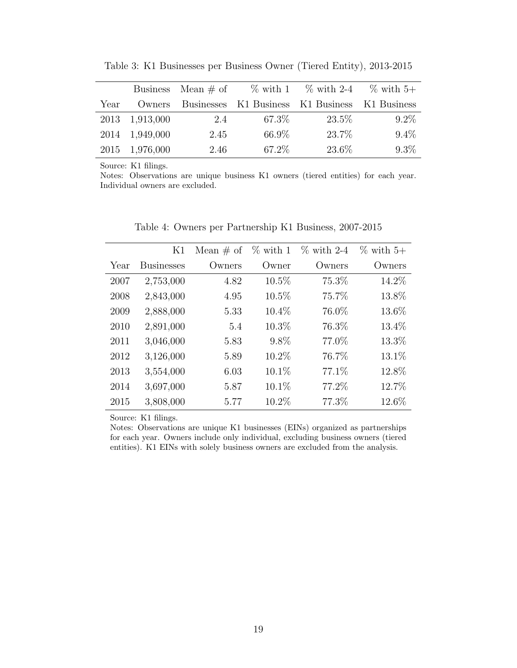<span id="page-20-0"></span>

|      |           | Business Mean $\#$ of | $\%$ with 1                        |        | $\%$ with 2-4 $\%$ with 5+ |
|------|-----------|-----------------------|------------------------------------|--------|----------------------------|
|      |           |                       |                                    |        |                            |
| Year | Owners    |                       | Businesses K1 Business K1 Business |        | – K1 Business              |
| 2013 | 1,913,000 | 2.4                   | 67.3\%                             | 23.5\% | $9.2\%$                    |
| 2014 | 1,949,000 | 2.45                  | 66.9%                              | 23.7%  | $9.4\%$                    |
| 2015 | 1,976,000 | 2.46                  | 67.2%                              | 23.6%  | $9.3\%$                    |

Table 3: K1 Businesses per Business Owner (Tiered Entity), 2013-2015

Notes: Observations are unique business K1 owners (tiered entities) for each year. Individual owners are excluded.

<span id="page-20-1"></span>

|      | K1                | Mean $\#$ of | $\%$ with 1 | $\%$ with 2-4 | $\%$ with 5+ |
|------|-------------------|--------------|-------------|---------------|--------------|
| Year | <b>Businesses</b> | Owners       | Owner       | Owners        | Owners       |
| 2007 | 2,753,000         | 4.82         | $10.5\%$    | 75.3%         | 14.2%        |
| 2008 | 2,843,000         | 4.95         | $10.5\%$    | 75.7%         | 13.8%        |
| 2009 | 2,888,000         | 5.33         | 10.4%       | 76.0%         | 13.6%        |
| 2010 | 2,891,000         | 5.4          | 10.3%       | 76.3%         | 13.4%        |
| 2011 | 3,046,000         | 5.83         | $9.8\%$     | 77.0%         | 13.3%        |
| 2012 | 3,126,000         | 5.89         | 10.2%       | 76.7%         | 13.1%        |
| 2013 | 3,554,000         | 6.03         | $10.1\%$    | 77.1\%        | 12.8%        |
| 2014 | 3,697,000         | 5.87         | 10.1%       | 77.2%         | 12.7%        |
| 2015 | 3,808,000         | 5.77         | 10.2%       | 77.3%         | 12.6%        |

Table 4: Owners per Partnership K1 Business, 2007-2015

Source: K1 filings.

Notes: Observations are unique K1 businesses (EINs) organized as partnerships for each year. Owners include only individual, excluding business owners (tiered entities). K1 EINs with solely business owners are excluded from the analysis.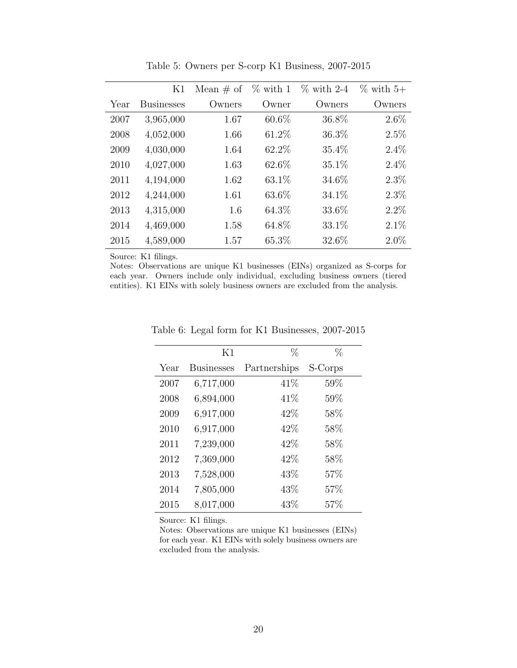<span id="page-21-0"></span>

|      | K1                | Mean $\#$ of | $\%$ with 1 | $\%$ with 2-4 | $\%$ with 5+ |
|------|-------------------|--------------|-------------|---------------|--------------|
| Year | <b>Businesses</b> | Owners       | Owner       | Owners        | Owners       |
| 2007 | 3,965,000         | 1.67         | $60.6\%$    | 36.8%         | $2.6\%$      |
| 2008 | 4,052,000         | 1.66         | 61.2%       | 36.3%         | $2.5\%$      |
| 2009 | 4,030,000         | 1.64         | 62.2%       | 35.4%         | $2.4\%$      |
| 2010 | 4,027,000         | 1.63         | 62.6%       | 35.1%         | $2.4\%$      |
| 2011 | 4,194,000         | 1.62         | 63.1%       | 34.6%         | $2.3\%$      |
| 2012 | 4,244,000         | 1.61         | 63.6%       | 34.1%         | $2.3\%$      |
| 2013 | 4,315,000         | 1.6          | 64.3%       | 33.6%         | $2.2\%$      |
| 2014 | 4,469,000         | 1.58         | 64.8%       | 33.1%         | $2.1\%$      |
| 2015 | 4,589,000         | 1.57         | 65.3%       | 32.6%         | $2.0\%$      |

Table 5: Owners per S-corp K1 Business, 2007-2015

<span id="page-21-1"></span>Notes: Observations are unique K1 businesses (EINs) organized as S-corps for each year. Owners include only individual, excluding business owners (tiered entities). K1 EINs with solely business owners are excluded from the analysis.

|      | K1                | $\%$         | %       |
|------|-------------------|--------------|---------|
| Year | <b>Businesses</b> | Partnerships | S-Corps |
| 2007 | 6,717,000         | 41\%         | 59%     |
| 2008 | 6,894,000         | 41\%         | 59%     |
| 2009 | 6,917,000         | 42\%         | 58%     |
| 2010 | 6,917,000         | 42%          | 58%     |
| 2011 | 7,239,000         | 42\%         | 58%     |
| 2012 | 7,369,000         | 42%          | 58%     |
| 2013 | 7,528,000         | 43%          | 57%     |
| 2014 | 7,805,000         | 43\%         | 57%     |
| 2015 | 8,017,000         | 43%          | 57%     |

Table 6: Legal form for K1 Businesses, 2007-2015

Source: K1 filings.

Notes: Observations are unique K1 businesses (EINs) for each year. K1 EINs with solely business owners are excluded from the analysis.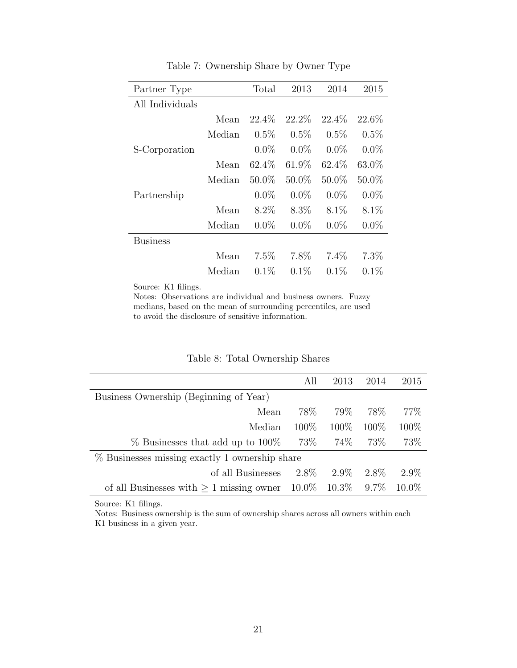<span id="page-22-0"></span>

| Partner Type    |        | Total   | 2013     | 2014     | 2015    |
|-----------------|--------|---------|----------|----------|---------|
| All Individuals |        |         |          |          |         |
|                 | Mean   | 22.4\%  | 22.2\%   | 22.4\%   | 22.6%   |
|                 | Median | 0.5%    | $0.5\%$  | $0.5\%$  | $0.5\%$ |
| S-Corporation   |        | $0.0\%$ | $0.0\%$  | $0.0\%$  | $0.0\%$ |
|                 | Mean   | 62.4\%  | 61.9%    | 62.4%    | 63.0%   |
|                 | Median | 50.0%   | $50.0\%$ | $50.0\%$ | 50.0%   |
| Partnership     |        | $0.0\%$ | $0.0\%$  | $0.0\%$  | $0.0\%$ |
|                 | Mean   | $8.2\%$ | $8.3\%$  | $8.1\%$  | $8.1\%$ |
|                 | Median | $0.0\%$ | $0.0\%$  | $0.0\%$  | $0.0\%$ |
| Business        |        |         |          |          |         |
|                 | Mean   | $7.5\%$ | 7.8%     | $7.4\%$  | 7.3%    |
|                 | Median | $0.1\%$ | $0.1\%$  | 0.1%     | $0.1\%$ |

Table 7: Ownership Share by Owner Type

Notes: Observations are individual and business owners. Fuzzy medians, based on the mean of surrounding percentiles, are used to avoid the disclosure of sensitive information.

<span id="page-22-1"></span>

|                                               | All                                              | 2013                      | 2014    | 2015     |  |  |  |  |
|-----------------------------------------------|--------------------------------------------------|---------------------------|---------|----------|--|--|--|--|
| Business Ownership (Beginning of Year)        |                                                  |                           |         |          |  |  |  |  |
| Mean                                          | 78%                                              | 79%                       | 78\%    | 77\%     |  |  |  |  |
| Median                                        | $100\%$                                          | $100\%$                   | $100\%$ | 100\%    |  |  |  |  |
| $\%$ Businesses that add up to 100\%          | 73\%                                             | 74%                       | 73\%    | 73%      |  |  |  |  |
|                                               | $%$ Businesses missing exactly 1 ownership share |                           |         |          |  |  |  |  |
| of all Businesses                             | $2.8\%$                                          | $2.9\%$                   | 2.8\%   | $2.9\%$  |  |  |  |  |
| of all Businesses with $\geq 1$ missing owner |                                                  | $10.0\%$ $10.3\%$ $9.7\%$ |         | $10.0\%$ |  |  |  |  |

#### Table 8: Total Ownership Shares

Source: K1 filings.

Notes: Business ownership is the sum of ownership shares across all owners within each K1 business in a given year.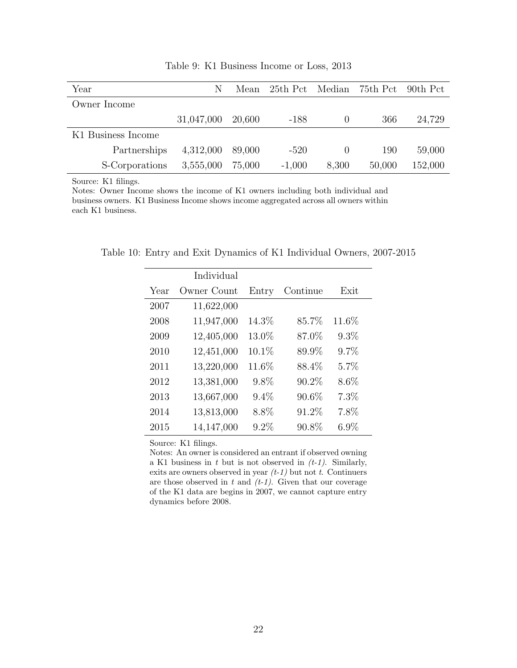<span id="page-23-0"></span>

| Year               | N          | Mean   |          |       | 25th Pct Median 75th Pct 90th Pct |         |
|--------------------|------------|--------|----------|-------|-----------------------------------|---------|
| Owner Income       |            |        |          |       |                                   |         |
|                    | 31,047,000 | 20,600 | -188     |       | 366                               | 24,729  |
| K1 Business Income |            |        |          |       |                                   |         |
| Partnerships       | 4,312,000  | 89,000 | $-520$   |       | 190                               | 59,000  |
| S-Corporations     | 3,555,000  | 75,000 | $-1,000$ | 8,300 | 50,000                            | 152,000 |

Table 9: K1 Business Income or Loss, 2013

Notes: Owner Income shows the income of K1 owners including both individual and business owners. K1 Business Income shows income aggregated across all owners within each K1 business.

<span id="page-23-1"></span>Table 10: Entry and Exit Dynamics of K1 Individual Owners, 2007-2015

|      | Individual  |          |          |         |  |
|------|-------------|----------|----------|---------|--|
| Year | Owner Count | Entry    | Continue | Exit    |  |
| 2007 | 11,622,000  |          |          |         |  |
| 2008 | 11,947,000  | 14.3%    | 85.7%    | 11.6%   |  |
| 2009 | 12,405,000  | 13.0%    | 87.0%    | $9.3\%$ |  |
| 2010 | 12,451,000  | $10.1\%$ | 89.9%    | 9.7%    |  |
| 2011 | 13,220,000  | 11.6%    | 88.4%    | 5.7%    |  |
| 2012 | 13,381,000  | 9.8%     | 90.2%    | $8.6\%$ |  |
| 2013 | 13,667,000  | 9.4%     | 90.6%    | 7.3%    |  |
| 2014 | 13,813,000  | 8.8%     | 91.2%    | 7.8%    |  |
| 2015 | 14,147,000  | 9.2%     | 90.8%    | $6.9\%$ |  |

Source: K1 filings.

Notes: An owner is considered an entrant if observed owning a K1 business in  $t$  but is not observed in  $(t-1)$ . Similarly, exits are owners observed in year  $(t-1)$  but not t. Continuers are those observed in  $t$  and  $(t-1)$ . Given that our coverage of the K1 data are begins in 2007, we cannot capture entry dynamics before 2008.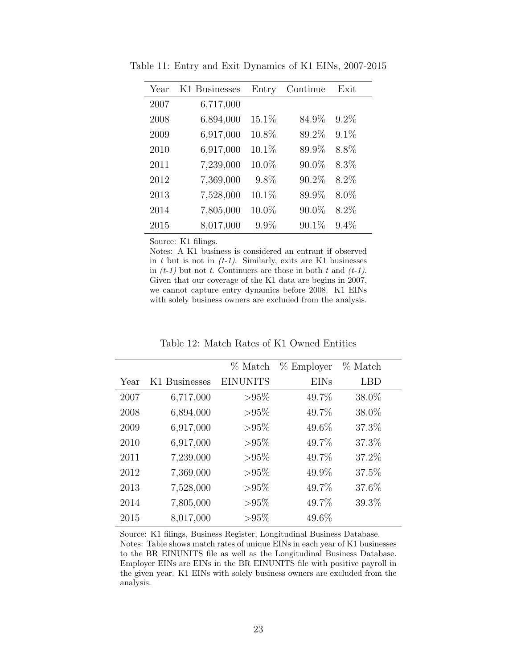| Year | K1 Businesses | Entry | Continue | Exit    |
|------|---------------|-------|----------|---------|
| 2007 | 6,717,000     |       |          |         |
| 2008 | 6,894,000     | 15.1% | 84.9%    | 9.2%    |
| 2009 | 6,917,000     | 10.8% | 89.2%    | 9.1%    |
| 2010 | 6,917,000     | 10.1% | 89.9%    | 8.8%    |
| 2011 | 7,239,000     | 10.0% | 90.0%    | 8.3%    |
| 2012 | 7,369,000     | 9.8%  | 90.2%    | 8.2%    |
| 2013 | 7,528,000     | 10.1% | 89.9%    | 8.0%    |
| 2014 | 7,805,000     | 10.0% | 90.0%    | 8.2%    |
| 2015 | 8,017,000     | 9.9%  | 90.1%    | $9.4\%$ |

<span id="page-24-0"></span>Table 11: Entry and Exit Dynamics of K1 EINs, 2007-2015

Notes: A K1 business is considered an entrant if observed in t but is not in  $(t-1)$ . Similarly, exits are K1 businesses in  $(t-1)$  but not t. Continuers are those in both t and  $(t-1)$ . Given that our coverage of the K1 data are begins in 2007, we cannot capture entry dynamics before 2008. K1 EINs with solely business owners are excluded from the analysis.

<span id="page-24-1"></span>

|      |               | % Match         | $%$ Employer | % Match |
|------|---------------|-----------------|--------------|---------|
| Year | K1 Businesses | <b>EINUNITS</b> | <b>EINs</b>  | LBD     |
| 2007 | 6,717,000     | $> 95\%$        | 49.7%        | 38.0%   |
| 2008 | 6,894,000     | $> 95\%$        | 49.7%        | 38.0%   |
| 2009 | 6,917,000     | $> 95\%$        | 49.6%        | 37.3%   |
| 2010 | 6,917,000     | $> 95\%$        | 49.7%        | 37.3%   |
| 2011 | 7,239,000     | $> 95\%$        | 49.7%        | 37.2%   |
| 2012 | 7,369,000     | $> 95\%$        | 49.9%        | 37.5%   |
| 2013 | 7,528,000     | $> 95\%$        | 49.7%        | 37.6%   |
| 2014 | 7,805,000     | $> 95\%$        | 49.7%        | 39.3%   |
| 2015 | 8,017,000     | $> 95\%$        | 49.6%        |         |

Table 12: Match Rates of K1 Owned Entities

Source: K1 filings, Business Register, Longitudinal Business Database. Notes: Table shows match rates of unique EINs in each year of K1 businesses to the BR EINUNITS file as well as the Longitudinal Business Database. Employer EINs are EINs in the BR EINUNITS file with positive payroll in the given year. K1 EINs with solely business owners are excluded from the analysis.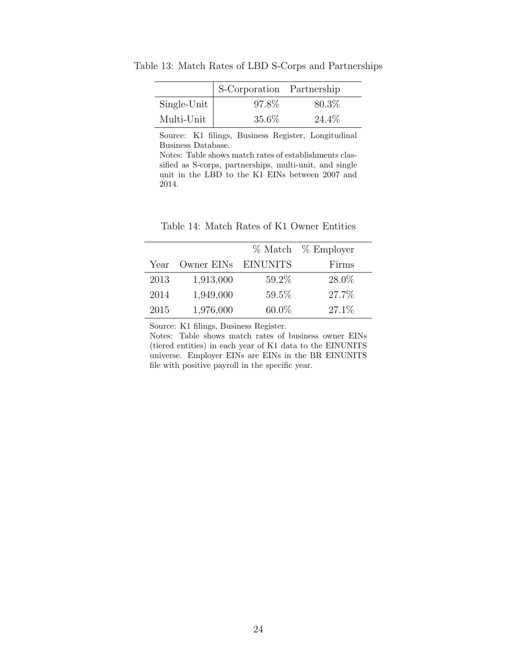|             | S-Corporation Partnership |        |
|-------------|---------------------------|--------|
| Single-Unit | 97.8%                     | 80.3\% |
| Multi-Unit  | $35.6\%$                  | 24.4\% |

<span id="page-25-0"></span>Table 13: Match Rates of LBD S-Corps and Partnerships

Source: K1 filings, Business Register, Longitudinal Business Database.

Notes: Table shows match rates of establishments classified as S-corps, partnerships, multi-unit, and single unit in the LBD to the K1 EINs between 2007 and 2014.

<span id="page-25-1"></span>

|      |                     |          | % Match % Employer |
|------|---------------------|----------|--------------------|
| Year | Owner EINs EINUNITS |          | Firms              |
| 2013 | 1,913,000           | 59.2%    | 28.0%              |
| 2014 | 1,949,000           | 59.5%    | 27.7%              |
| 2015 | 1,976,000           | $60.0\%$ | $27.1\%$           |

Table 14: Match Rates of K1 Owner Entities

Source: K1 filings, Business Register.

Notes: Table shows match rates of business owner EINs (tiered entities) in each year of K1 data to the EINUNITS universe. Employer EINs are EINs in the BR EINUNITS file with positive payroll in the specific year.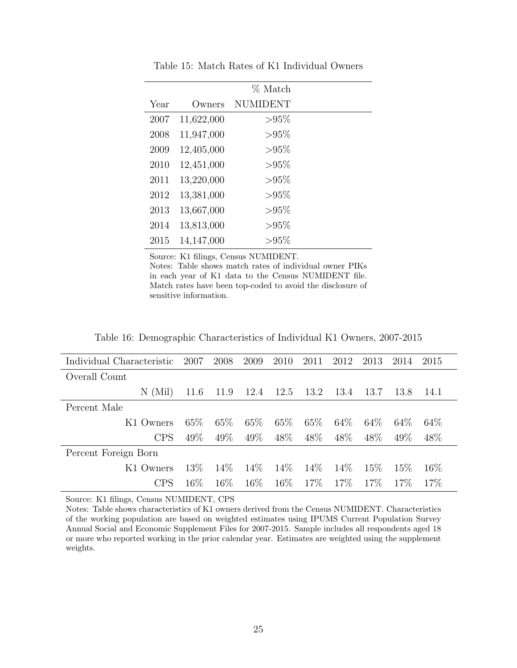<span id="page-26-0"></span>

|      |            | % Match     |  |
|------|------------|-------------|--|
| Year | Owners     | NUMIDENT    |  |
| 2007 | 11,622,000 | $>\!\!95\%$ |  |
| 2008 | 11,947,000 | $> 95\%$    |  |
| 2009 | 12,405,000 | $> 95\%$    |  |
| 2010 | 12,451,000 | $> 95\%$    |  |
| 2011 | 13,220,000 | $>\!\!95\%$ |  |
| 2012 | 13,381,000 | $>\!\!95\%$ |  |
| 2013 | 13,667,000 | $>\!\!95\%$ |  |
| 2014 | 13,813,000 | $>\!\!95\%$ |  |
| 2015 | 14,147,000 | $>\!\!95\%$ |  |

Table 15: Match Rates of K1 Individual Owners

Source: K1 filings, Census NUMIDENT.

Notes: Table shows match rates of individual owner PIKs in each year of K1 data to the Census NUMIDENT file. Match rates have been top-coded to avoid the disclosure of sensitive information.

Table 16: Demographic Characteristics of Individual K1 Owners, 2007-2015

<span id="page-26-1"></span>

| Individual Characteristic | 2007   | 2008   | 2009   | 2010   | 2011   | 2012   | 2013   | 2014   | 2015   |
|---------------------------|--------|--------|--------|--------|--------|--------|--------|--------|--------|
| Overall Count             |        |        |        |        |        |        |        |        |        |
| (Mil)<br>N                | 11.6   | 11.9   | 12.4   | 12.5   | 13.2   | 13.4   | 13.7   | 13.8   | 14.1   |
| Percent Male              |        |        |        |        |        |        |        |        |        |
| K1 Owners                 | $65\%$ | $65\%$ | 65\%   | $65\%$ | $65\%$ | $64\%$ | $64\%$ | $64\%$ | 64\%   |
| <b>CPS</b>                | 49\%   | $49\%$ | 49\%   | 48\%   | 48\%   | 48\%   | 48\%   | 49\%   | 48\%   |
| Percent Foreign Born      |        |        |        |        |        |        |        |        |        |
| K1 Owners                 | 13\%   | $14\%$ | 14\%   | 14\%   | $14\%$ | 14\%   | 15\%   | 15%    | $16\%$ |
| CPS                       | $16\%$ | $16\%$ | $16\%$ | $16\%$ | $17\%$ | $17\%$ | $17\%$ | $17\%$ | 17\%   |

Source: K1 filings, Census NUMIDENT, CPS

Notes: Table shows characteristics of K1 owners derived from the Census NUMIDENT. Characteristics of the working population are based on weighted estimates using IPUMS Current Population Survey Annual Social and Economic Supplement Files for 2007-2015. Sample includes all respondents aged 18 or more who reported working in the prior calendar year. Estimates are weighted using the supplement weights.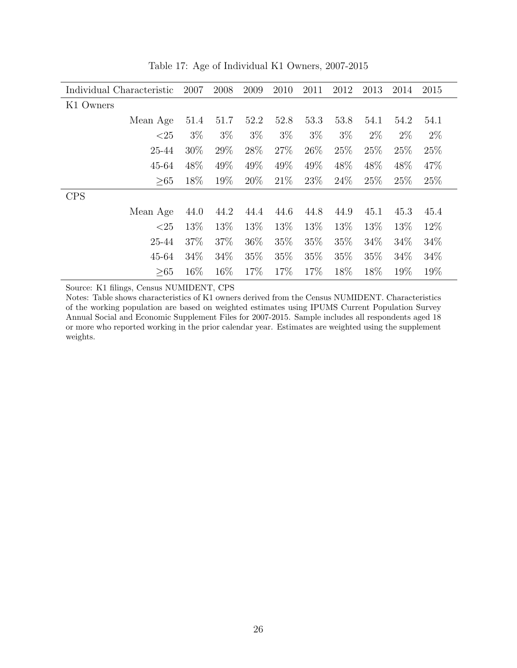<span id="page-27-0"></span>

| Individual Characteristic | 2007   | 2008   | 2009  | 2010  | 2011  | 2012  | 2013  | 2014  | 2015  |
|---------------------------|--------|--------|-------|-------|-------|-------|-------|-------|-------|
| K1 Owners                 |        |        |       |       |       |       |       |       |       |
| Mean Age                  | 51.4   | 51.7   | 52.2  | 52.8  | 53.3  | 53.8  | 54.1  | 54.2  | 54.1  |
| ${<}25$                   | $3\%$  | $3\%$  | $3\%$ | $3\%$ | $3\%$ | $3\%$ | $2\%$ | $2\%$ | $2\%$ |
| 25-44                     | $30\%$ | 29%    | 28\%  | 27%   | 26\%  | 25\%  | 25\%  | 25%   | 25\%  |
| 45-64                     | 48\%   | 49\%   | 49%   | 49\%  | 49%   | 48\%  | 48\%  | 48\%  | 47\%  |
| >65                       | 18\%   | 19%    | 20%   | 21\%  | 23\%  | 24%   | 25\%  | 25\%  | 25\%  |
| <b>CPS</b>                |        |        |       |       |       |       |       |       |       |
| Mean Age                  | 44.0   | 44.2   | 44.4  | 44.6  | 44.8  | 44.9  | 45.1  | 45.3  | 45.4  |
| ${<}25$                   | 13%    | 13\%   | 13\%  | 13\%  | 13\%  | 13%   | 13%   | 13\%  | 12\%  |
| 25-44                     | 37\%   | 37\%   | 36\%  | 35\%  | 35%   | 35\%  | 34\%  | 34%   | 34\%  |
| 45-64                     | 34%    | 34%    | 35\%  | 35\%  | 35\%  | 35\%  | 35\%  | 34%   | 34\%  |
| >65                       | 16\%   | $16\%$ | 17%   | 17%   | 17\%  | 18\%  | 18\%  | 19%   | 19%   |

Table 17: Age of Individual K1 Owners, 2007-2015

Source: K1 filings, Census NUMIDENT, CPS

Notes: Table shows characteristics of K1 owners derived from the Census NUMIDENT. Characteristics of the working population are based on weighted estimates using IPUMS Current Population Survey Annual Social and Economic Supplement Files for 2007-2015. Sample includes all respondents aged 18 or more who reported working in the prior calendar year. Estimates are weighted using the supplement weights.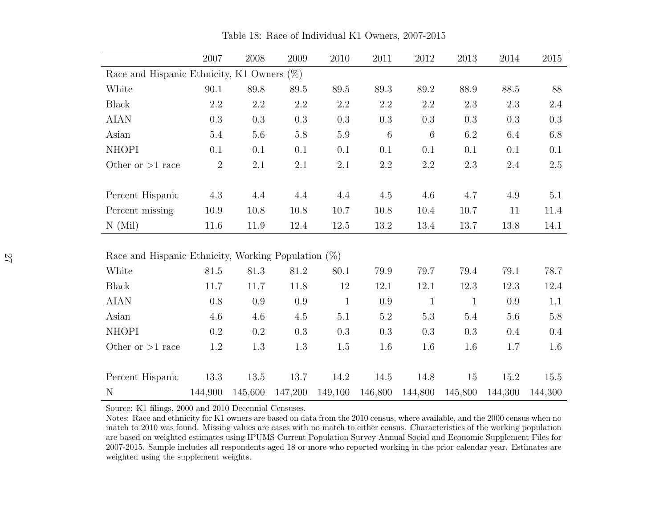|                                                        | 2007                                          | 2008    | 2009    | 2010         | 2011             | 2012            | 2013         | 2014    | 2015    |  |
|--------------------------------------------------------|-----------------------------------------------|---------|---------|--------------|------------------|-----------------|--------------|---------|---------|--|
|                                                        | Race and Hispanic Ethnicity, K1 Owners $(\%)$ |         |         |              |                  |                 |              |         |         |  |
| White                                                  | 90.1                                          | 89.8    | 89.5    | 89.5         | 89.3             | 89.2            | 88.9         | 88.5    | 88      |  |
| <b>Black</b>                                           | 2.2                                           | 2.2     | 2.2     | 2.2          | 2.2              | 2.2             | $2.3\,$      | 2.3     | 2.4     |  |
| <b>AIAN</b>                                            | 0.3                                           | $0.3\,$ | 0.3     | 0.3          | 0.3              | $0.3\,$         | $0.3\,$      | 0.3     | 0.3     |  |
| Asian                                                  | 5.4                                           | $5.6\,$ | 5.8     | $5.9\,$      | $\boldsymbol{6}$ | $6\phantom{.}6$ | 6.2          | 6.4     | 6.8     |  |
| <b>NHOPI</b>                                           | 0.1                                           | 0.1     | 0.1     | 0.1          | 0.1              | 0.1             | 0.1          | 0.1     | 0.1     |  |
| Other or $>1$ race                                     | $\overline{2}$                                | 2.1     | 2.1     | 2.1          | $2.2\,$          | $2.2\,$         | $2.3\,$      | 2.4     | $2.5\,$ |  |
|                                                        |                                               |         |         |              |                  |                 |              |         |         |  |
| Percent Hispanic                                       | 4.3                                           | 4.4     | 4.4     | 4.4          | 4.5              | 4.6             | 4.7          | 4.9     | 5.1     |  |
| Percent missing                                        | 10.9                                          | 10.8    | 10.8    | 10.7         | 10.8             | 10.4            | 10.7         | 11      | 11.4    |  |
| N(Mil)                                                 | $11.6\,$                                      | 11.9    | 12.4    | $12.5\,$     | $13.2\,$         | 13.4            | 13.7         | 13.8    | 14.1    |  |
|                                                        |                                               |         |         |              |                  |                 |              |         |         |  |
| Race and Hispanic Ethnicity, Working Population $(\%)$ |                                               |         |         |              |                  |                 |              |         |         |  |
| White                                                  | 81.5                                          | 81.3    | 81.2    | 80.1         | 79.9             | 79.7            | 79.4         | 79.1    | 78.7    |  |
| <b>Black</b>                                           | 11.7                                          | 11.7    | 11.8    | 12           | 12.1             | 12.1            | 12.3         | 12.3    | 12.4    |  |
| <b>AIAN</b>                                            | 0.8                                           | 0.9     | 0.9     | $\mathbf{1}$ | 0.9              | $\mathbf{1}$    | $\mathbf{1}$ | 0.9     | 1.1     |  |
| Asian                                                  | 4.6                                           | 4.6     | 4.5     | 5.1          | $5.2\,$          | 5.3             | 5.4          | 5.6     | 5.8     |  |
| <b>NHOPI</b>                                           | 0.2                                           | 0.2     | 0.3     | 0.3          | 0.3              | 0.3             | 0.3          | 0.4     | 0.4     |  |
| Other or $>1$ race                                     | 1.2                                           | 1.3     | 1.3     | 1.5          | $1.6\,$          | 1.6             | 1.6          | 1.7     | 1.6     |  |
|                                                        |                                               |         |         |              |                  |                 |              |         |         |  |
| Percent Hispanic                                       | 13.3                                          | 13.5    | 13.7    | 14.2         | 14.5             | 14.8            | 15           | 15.2    | 15.5    |  |
| $\mathbf N$                                            | 144,900                                       | 145,600 | 147,200 | 149,100      | 146,800          | 144,800         | 145,800      | 144,300 | 144,300 |  |

Table 18: Race of Individual K1 Owners, 2007-2015

Source: K1 filings, 2000 and 2010 Decennial Censuses.

<span id="page-28-0"></span> Notes: Race and ethnicity for K1 owners are based on data from the 2010 census, where available, and the 2000 census when no match to 2010 was found. Missing values are cases with no match to either census. Characteristics of the working population are based on weighted estimates using IPUMS Current Population Survey Annual Social and Economic Supplement Files for 2007-2015. Sample includes all respondents aged 18 or more who reported working in the prior calendar year. Estimates areweighted using the supplement weights.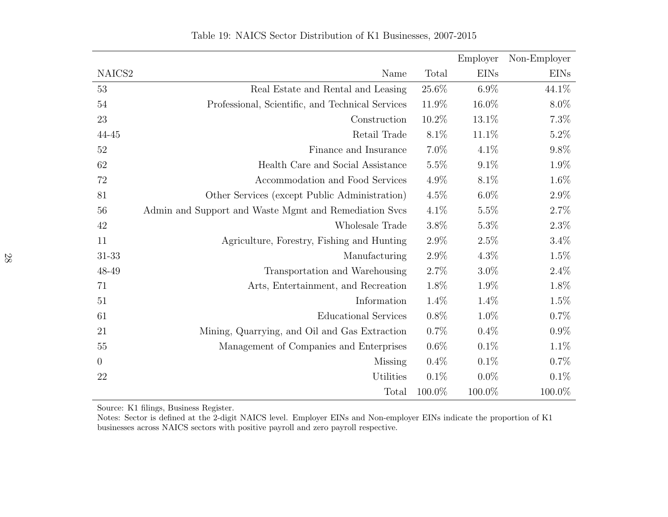|                    |                                                       |         | Employer    | Non-Employer |
|--------------------|-------------------------------------------------------|---------|-------------|--------------|
| NAICS <sub>2</sub> | Name                                                  | Total   | <b>EINs</b> | <b>EINs</b>  |
| 53                 | Real Estate and Rental and Leasing                    | 25.6%   | $6.9\%$     | 44.1%        |
| $54\,$             | Professional, Scientific, and Technical Services      | 11.9%   | 16.0%       | $8.0\%$      |
| $23\,$             | Construction                                          | 10.2%   | 13.1%       | 7.3%         |
| 44-45              | Retail Trade                                          | $8.1\%$ | 11.1%       | 5.2%         |
| 52                 | Finance and Insurance                                 | $7.0\%$ | $4.1\%$     | 9.8%         |
| $62\,$             | Health Care and Social Assistance                     | $5.5\%$ | $9.1\%$     | 1.9%         |
| $72\,$             | Accommodation and Food Services                       | 4.9%    | $8.1\%$     | 1.6%         |
| 81                 | Other Services (except Public Administration)         | $4.5\%$ | $6.0\%$     | $2.9\%$      |
| 56                 | Admin and Support and Waste Mgmt and Remediation Svcs | $4.1\%$ | 5.5%        | 2.7%         |
| $42\,$             | Wholesale Trade                                       | 3.8%    | $5.3\%$     | 2.3%         |
| 11                 | Agriculture, Forestry, Fishing and Hunting            | $2.9\%$ | $2.5\%$     | $3.4\%$      |
| 31-33              | Manufacturing                                         | 2.9%    | $4.3\%$     | 1.5%         |
| 48-49              | Transportation and Warehousing                        | 2.7%    | $3.0\%$     | 2.4%         |
| 71                 | Arts, Entertainment, and Recreation                   | 1.8%    | 1.9%        | 1.8%         |
| 51                 | Information                                           | 1.4%    | 1.4%        | 1.5%         |
| 61                 | <b>Educational Services</b>                           | $0.8\%$ | $1.0\%$     | 0.7%         |
| 21                 | Mining, Quarrying, and Oil and Gas Extraction         | $0.7\%$ | 0.4%        | $0.9\%$      |
| $55\,$             | Management of Companies and Enterprises               | $0.6\%$ | 0.1%        | 1.1%         |
| $\theta$           | Missing                                               | $0.4\%$ | 0.1%        | 0.7%         |
| 22                 | Utilities                                             | 0.1%    | $0.0\%$     | 0.1%         |
|                    | Total                                                 | 100.0%  | 100.0%      | 100.0%       |

Table 19: NAICS Sector Distribution of K1 Businesses, 2007-2015

<span id="page-29-0"></span>Source: K1 filings, Business Register.

Notes: Sector is defined at the 2-digit NAICS level. Employer EINs and Non-employer EINs indicate the proportion of K1 businesses across NAICS sectors with positive payroll and zero payroll respective.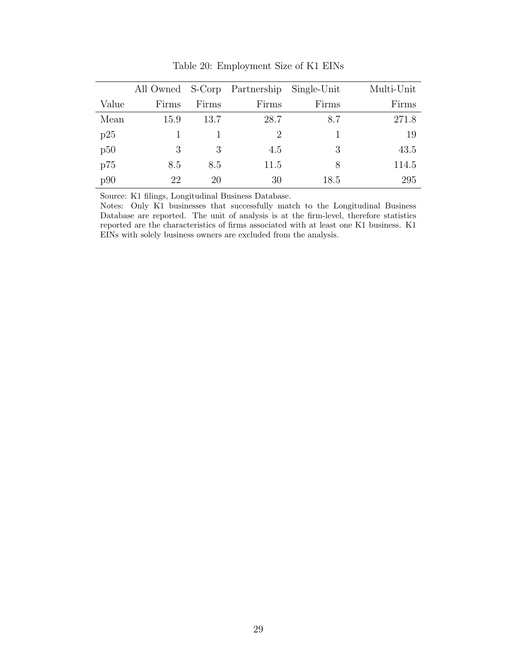<span id="page-30-0"></span>

|       |       |       | All Owned S-Corp Partnership Single-Unit |       | Multi-Unit |
|-------|-------|-------|------------------------------------------|-------|------------|
| Value | Firms | Firms | Firms                                    | Firms | Firms      |
| Mean  | 15.9  | 13.7  | 28.7                                     | 8.7   | 271.8      |
| p25   |       |       | $\mathcal{D}$                            |       | 19         |
| p50   | 3     | 3     | 4.5                                      | 3     | 43.5       |
| p75   | 8.5   | 8.5   | 11.5                                     | 8     | 114.5      |
| p90   | 22    | 20    | 30                                       | 18.5  | 295        |

Table 20: Employment Size of K1 EINs

Source: K1 filings, Longitudinal Business Database.

Notes: Only K1 businesses that successfully match to the Longitudinal Business Database are reported. The unit of analysis is at the firm-level, therefore statistics reported are the characteristics of firms associated with at least one K1 business. K1 EINs with solely business owners are excluded from the analysis.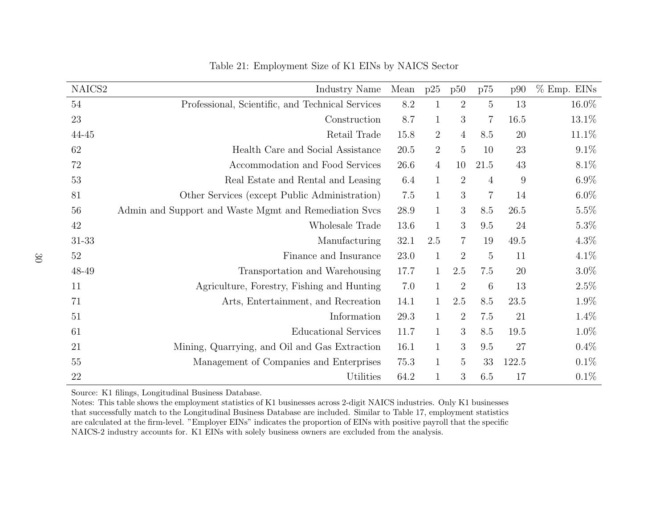| NAICS2    | Industry Name                                         | Mean | p25            | p50            | p75             | p90    | % Emp. EINS |
|-----------|-------------------------------------------------------|------|----------------|----------------|-----------------|--------|-------------|
| 54        | Professional, Scientific, and Technical Services      | 8.2  | 1              | $\overline{2}$ | $\overline{5}$  | 13     | 16.0%       |
| 23        | Construction                                          | 8.7  | 1              | 3              | $\overline{7}$  | 16.5   | 13.1\%      |
| 44-45     | Retail Trade                                          | 15.8 | $\overline{2}$ | $\overline{4}$ | 8.5             | 20     | 11.1\%      |
| 62        | Health Care and Social Assistance                     | 20.5 | $\overline{2}$ | $\overline{5}$ | 10              | 23     | 9.1%        |
| 72        | Accommodation and Food Services                       | 26.6 | $\overline{4}$ | 10             | 21.5            | 43     | 8.1%        |
| 53        | Real Estate and Rental and Leasing                    | 6.4  | $\mathbf{1}$   | $\overline{2}$ | $\overline{4}$  | 9      | $6.9\%$     |
| 81        | Other Services (except Public Administration)         | 7.5  | $\mathbf{1}$   | 3              | $\overline{7}$  | 14     | $6.0\%$     |
| 56        | Admin and Support and Waste Mgmt and Remediation Svcs | 28.9 | $\mathbf{1}$   | 3              | 8.5             | 26.5   | $5.5\%$     |
| 42        | Wholesale Trade                                       | 13.6 | $\mathbf{1}$   | 3              | 9.5             | 24     | $5.3\%$     |
| $31 - 33$ | Manufacturing                                         | 32.1 | 2.5            | 7              | 19              | 49.5   | $4.3\%$     |
| 52        | Finance and Insurance                                 | 23.0 | $\mathbf{1}$   | $\overline{2}$ | $\overline{5}$  | 11     | $4.1\%$     |
| 48-49     | Transportation and Warehousing                        | 17.7 | $\mathbf{1}$   | 2.5            | 7.5             | $20\,$ | $3.0\%$     |
| 11        | Agriculture, Forestry, Fishing and Hunting            | 7.0  | $\mathbf{1}$   | $\overline{2}$ | $6\phantom{.}6$ | 13     | $2.5\%$     |
| 71        | Arts, Entertainment, and Recreation                   | 14.1 | 1              | 2.5            | 8.5             | 23.5   | 1.9%        |
| 51        | Information                                           | 29.3 | 1              | $\overline{2}$ | 7.5             | 21     | $1.4\%$     |
| 61        | <b>Educational Services</b>                           | 11.7 | 1              | 3              | 8.5             | 19.5   | $1.0\%$     |
| 21        | Mining, Quarrying, and Oil and Gas Extraction         | 16.1 | $\mathbf{1}$   | 3              | 9.5             | 27     | $0.4\%$     |
| 55        | Management of Companies and Enterprises               | 75.3 | $\mathbf{1}$   | 5              | 33              | 122.5  | $0.1\%$     |
| 22        | Utilities                                             | 64.2 |                | 3              | 6.5             | 17     | $0.1\%$     |

#### Table 21: Employment Size of K1 EINs by NAICS Sector

Source: K1 filings, Longitudinal Business Database.

<span id="page-31-0"></span> Notes: This table shows the employment statistics of K1 businesses across 2-digit NAICS industries. Only K1 businesses that successfully match to the Longitudinal Business Database are included. Similar to Table 17, employment statistics are calculated at the firm-level. "Employer EINs" indicates the proportion of EINs with positive payroll that the specificNAICS-2 industry accounts for. K1 EINs with solely business owners are excluded from the analysis.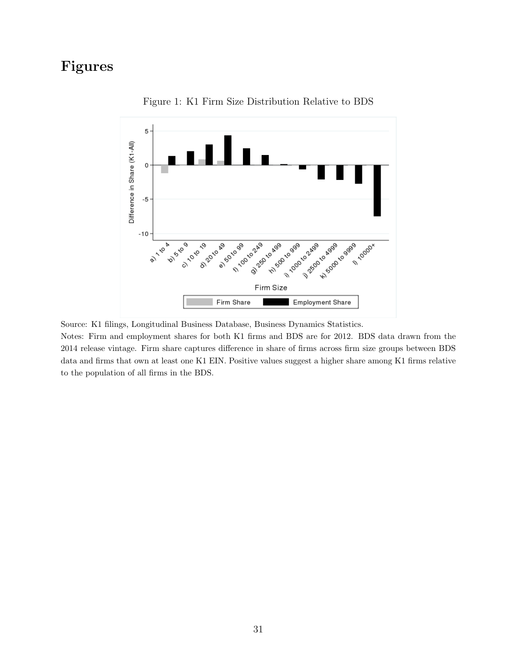## <span id="page-32-0"></span>Figures



Figure 1: K1 Firm Size Distribution Relative to BDS

Source: K1 filings, Longitudinal Business Database, Business Dynamics Statistics.

Notes: Firm and employment shares for both K1 firms and BDS are for 2012. BDS data drawn from the 2014 release vintage. Firm share captures difference in share of firms across firm size groups between BDS data and firms that own at least one K1 EIN. Positive values suggest a higher share among K1 firms relative to the population of all firms in the BDS.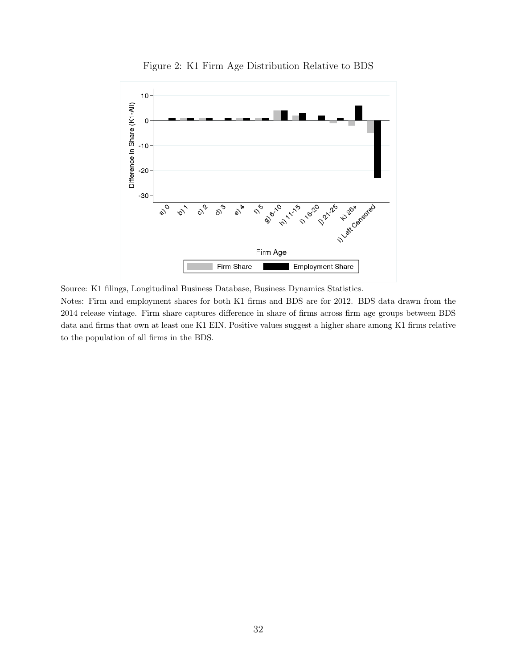<span id="page-33-0"></span>

Figure 2: K1 Firm Age Distribution Relative to BDS

Source: K1 filings, Longitudinal Business Database, Business Dynamics Statistics.

Notes: Firm and employment shares for both K1 firms and BDS are for 2012. BDS data drawn from the 2014 release vintage. Firm share captures difference in share of firms across firm age groups between BDS data and firms that own at least one K1 EIN. Positive values suggest a higher share among K1 firms relative to the population of all firms in the BDS.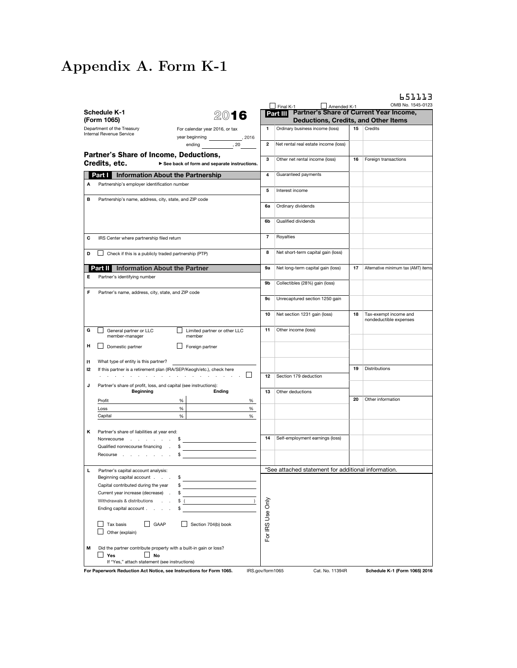# Appendix A. Form K-1

| $\sqrt{5}$ Final K-1<br>Amended K-1<br>Partner's Share of Current Year Income,<br>Schedule K-1<br>Part III<br>2016<br>(Form 1065)<br><b>Deductions, Credits, and Other Items</b><br>Ordinary business income (loss)<br>15<br>Department of the Treasury<br>1.<br>Credits<br>For calendar year 2016, or tax<br>Internal Revenue Service<br>year beginning ________________, 2016<br>2<br>ending 50, 20<br>Net rental real estate income (loss)<br>Partner's Share of Income, Deductions,<br>3<br>Other net rental income (loss)<br>16<br>Foreign transactions<br>Credits, etc.<br>See back of form and separate instructions.<br>Guaranteed payments<br><b>Information About the Partnership</b><br>4<br>Part I<br>Partnership's employer identification number<br>Α<br>5<br>Interest income<br>в<br>Partnership's name, address, city, state, and ZIP code<br>6a<br>Ordinary dividends<br>6b<br>Qualified dividends<br>$\overline{7}$<br>Royalties<br>с<br>IRS Center where partnership filed return<br>8<br>Net short-term capital gain (loss)<br>Check if this is a publicly traded partnership (PTP)<br>D<br><b>Part I</b> Information About the Partner<br>9а<br>Net long-term capital gain (loss)<br>17<br>Е<br>Partner's identifying number<br>9b<br>Collectibles (28%) gain (loss)<br>F<br>Partner's name, address, city, state, and ZIP code<br>Unrecaptured section 1250 gain<br>9c<br>Net section 1231 gain (loss)<br>10<br>18<br>Tax-exempt income and<br>nondeductible expenses<br>11<br>Other income (loss)<br>G<br>General partner or LLC<br>Limited partner or other LLC<br>member-manager<br>member<br>н<br>Domestic partner<br>$\Box$ Foreign partner<br>What type of entity is this partner?<br>$\mathbf{H}$<br>Distributions<br>19<br>If this partner is a retirement plan (IRA/SEP/Keogh/etc.), check here<br>12<br>a construction of the construction of the construction of the construction of the construction of the construction of the construction of the construction of the construction of the construction of the construction of the<br>Section 179 deduction<br>12<br>Partner's share of profit, loss, and capital (see instructions):<br>J<br><b>Beginning</b><br><b>Ending</b><br>13<br>Other deductions<br>20<br>Other information<br>Profit<br>%<br>%<br>%<br>%<br>Loss<br>$\%$<br>Capital<br>%<br>κ<br>Partner's share of liabilities at year end:<br>14<br>Self-employment earnings (loss)<br>Nonrecourse \$<br>Qualified nonrecourse financing .<br>$\frac{1}{2}$<br>Recourse<br>\$<br>*See attached statement for additional information.<br>Ц<br>Partner's capital account analysis:<br>Beginning capital account.<br>\$<br>Capital contributed during the year<br>\$<br>Current year increase (decrease)<br>\$<br>For IRS Use Only<br>Withdrawals & distributions<br>\$(<br>Ending capital account.<br>\$<br>GAAP<br>Section 704(b) book<br>Tax basis<br>Other (explain)<br>Did the partner contribute property with a built-in gain or loss?<br>M<br>Yes<br><b>No</b><br>If "Yes," attach statement (see instructions) |  |  |                 | 651117<br>OMB No. 1545-0123         |
|---------------------------------------------------------------------------------------------------------------------------------------------------------------------------------------------------------------------------------------------------------------------------------------------------------------------------------------------------------------------------------------------------------------------------------------------------------------------------------------------------------------------------------------------------------------------------------------------------------------------------------------------------------------------------------------------------------------------------------------------------------------------------------------------------------------------------------------------------------------------------------------------------------------------------------------------------------------------------------------------------------------------------------------------------------------------------------------------------------------------------------------------------------------------------------------------------------------------------------------------------------------------------------------------------------------------------------------------------------------------------------------------------------------------------------------------------------------------------------------------------------------------------------------------------------------------------------------------------------------------------------------------------------------------------------------------------------------------------------------------------------------------------------------------------------------------------------------------------------------------------------------------------------------------------------------------------------------------------------------------------------------------------------------------------------------------------------------------------------------------------------------------------------------------------------------------------------------------------------------------------------------------------------------------------------------------------------------------------------------------------------------------------------------------------------------------------------------------------------------------------------------------------------------------------------------------------------------------------------------------------------------------------------------------------------------------------------------------------------------------------------------------------------------------------------------------------------------------------------------------------------------------------------------------------------------------------------------------------------------------------------------------------------------------------------------------|--|--|-----------------|-------------------------------------|
|                                                                                                                                                                                                                                                                                                                                                                                                                                                                                                                                                                                                                                                                                                                                                                                                                                                                                                                                                                                                                                                                                                                                                                                                                                                                                                                                                                                                                                                                                                                                                                                                                                                                                                                                                                                                                                                                                                                                                                                                                                                                                                                                                                                                                                                                                                                                                                                                                                                                                                                                                                                                                                                                                                                                                                                                                                                                                                                                                                                                                                                                     |  |  |                 |                                     |
|                                                                                                                                                                                                                                                                                                                                                                                                                                                                                                                                                                                                                                                                                                                                                                                                                                                                                                                                                                                                                                                                                                                                                                                                                                                                                                                                                                                                                                                                                                                                                                                                                                                                                                                                                                                                                                                                                                                                                                                                                                                                                                                                                                                                                                                                                                                                                                                                                                                                                                                                                                                                                                                                                                                                                                                                                                                                                                                                                                                                                                                                     |  |  |                 |                                     |
|                                                                                                                                                                                                                                                                                                                                                                                                                                                                                                                                                                                                                                                                                                                                                                                                                                                                                                                                                                                                                                                                                                                                                                                                                                                                                                                                                                                                                                                                                                                                                                                                                                                                                                                                                                                                                                                                                                                                                                                                                                                                                                                                                                                                                                                                                                                                                                                                                                                                                                                                                                                                                                                                                                                                                                                                                                                                                                                                                                                                                                                                     |  |  |                 |                                     |
|                                                                                                                                                                                                                                                                                                                                                                                                                                                                                                                                                                                                                                                                                                                                                                                                                                                                                                                                                                                                                                                                                                                                                                                                                                                                                                                                                                                                                                                                                                                                                                                                                                                                                                                                                                                                                                                                                                                                                                                                                                                                                                                                                                                                                                                                                                                                                                                                                                                                                                                                                                                                                                                                                                                                                                                                                                                                                                                                                                                                                                                                     |  |  |                 |                                     |
|                                                                                                                                                                                                                                                                                                                                                                                                                                                                                                                                                                                                                                                                                                                                                                                                                                                                                                                                                                                                                                                                                                                                                                                                                                                                                                                                                                                                                                                                                                                                                                                                                                                                                                                                                                                                                                                                                                                                                                                                                                                                                                                                                                                                                                                                                                                                                                                                                                                                                                                                                                                                                                                                                                                                                                                                                                                                                                                                                                                                                                                                     |  |  |                 |                                     |
|                                                                                                                                                                                                                                                                                                                                                                                                                                                                                                                                                                                                                                                                                                                                                                                                                                                                                                                                                                                                                                                                                                                                                                                                                                                                                                                                                                                                                                                                                                                                                                                                                                                                                                                                                                                                                                                                                                                                                                                                                                                                                                                                                                                                                                                                                                                                                                                                                                                                                                                                                                                                                                                                                                                                                                                                                                                                                                                                                                                                                                                                     |  |  |                 |                                     |
|                                                                                                                                                                                                                                                                                                                                                                                                                                                                                                                                                                                                                                                                                                                                                                                                                                                                                                                                                                                                                                                                                                                                                                                                                                                                                                                                                                                                                                                                                                                                                                                                                                                                                                                                                                                                                                                                                                                                                                                                                                                                                                                                                                                                                                                                                                                                                                                                                                                                                                                                                                                                                                                                                                                                                                                                                                                                                                                                                                                                                                                                     |  |  |                 |                                     |
|                                                                                                                                                                                                                                                                                                                                                                                                                                                                                                                                                                                                                                                                                                                                                                                                                                                                                                                                                                                                                                                                                                                                                                                                                                                                                                                                                                                                                                                                                                                                                                                                                                                                                                                                                                                                                                                                                                                                                                                                                                                                                                                                                                                                                                                                                                                                                                                                                                                                                                                                                                                                                                                                                                                                                                                                                                                                                                                                                                                                                                                                     |  |  |                 |                                     |
|                                                                                                                                                                                                                                                                                                                                                                                                                                                                                                                                                                                                                                                                                                                                                                                                                                                                                                                                                                                                                                                                                                                                                                                                                                                                                                                                                                                                                                                                                                                                                                                                                                                                                                                                                                                                                                                                                                                                                                                                                                                                                                                                                                                                                                                                                                                                                                                                                                                                                                                                                                                                                                                                                                                                                                                                                                                                                                                                                                                                                                                                     |  |  |                 |                                     |
|                                                                                                                                                                                                                                                                                                                                                                                                                                                                                                                                                                                                                                                                                                                                                                                                                                                                                                                                                                                                                                                                                                                                                                                                                                                                                                                                                                                                                                                                                                                                                                                                                                                                                                                                                                                                                                                                                                                                                                                                                                                                                                                                                                                                                                                                                                                                                                                                                                                                                                                                                                                                                                                                                                                                                                                                                                                                                                                                                                                                                                                                     |  |  |                 |                                     |
|                                                                                                                                                                                                                                                                                                                                                                                                                                                                                                                                                                                                                                                                                                                                                                                                                                                                                                                                                                                                                                                                                                                                                                                                                                                                                                                                                                                                                                                                                                                                                                                                                                                                                                                                                                                                                                                                                                                                                                                                                                                                                                                                                                                                                                                                                                                                                                                                                                                                                                                                                                                                                                                                                                                                                                                                                                                                                                                                                                                                                                                                     |  |  |                 |                                     |
|                                                                                                                                                                                                                                                                                                                                                                                                                                                                                                                                                                                                                                                                                                                                                                                                                                                                                                                                                                                                                                                                                                                                                                                                                                                                                                                                                                                                                                                                                                                                                                                                                                                                                                                                                                                                                                                                                                                                                                                                                                                                                                                                                                                                                                                                                                                                                                                                                                                                                                                                                                                                                                                                                                                                                                                                                                                                                                                                                                                                                                                                     |  |  |                 |                                     |
|                                                                                                                                                                                                                                                                                                                                                                                                                                                                                                                                                                                                                                                                                                                                                                                                                                                                                                                                                                                                                                                                                                                                                                                                                                                                                                                                                                                                                                                                                                                                                                                                                                                                                                                                                                                                                                                                                                                                                                                                                                                                                                                                                                                                                                                                                                                                                                                                                                                                                                                                                                                                                                                                                                                                                                                                                                                                                                                                                                                                                                                                     |  |  |                 | Alternative minimum tax (AMT) items |
|                                                                                                                                                                                                                                                                                                                                                                                                                                                                                                                                                                                                                                                                                                                                                                                                                                                                                                                                                                                                                                                                                                                                                                                                                                                                                                                                                                                                                                                                                                                                                                                                                                                                                                                                                                                                                                                                                                                                                                                                                                                                                                                                                                                                                                                                                                                                                                                                                                                                                                                                                                                                                                                                                                                                                                                                                                                                                                                                                                                                                                                                     |  |  |                 |                                     |
|                                                                                                                                                                                                                                                                                                                                                                                                                                                                                                                                                                                                                                                                                                                                                                                                                                                                                                                                                                                                                                                                                                                                                                                                                                                                                                                                                                                                                                                                                                                                                                                                                                                                                                                                                                                                                                                                                                                                                                                                                                                                                                                                                                                                                                                                                                                                                                                                                                                                                                                                                                                                                                                                                                                                                                                                                                                                                                                                                                                                                                                                     |  |  |                 |                                     |
|                                                                                                                                                                                                                                                                                                                                                                                                                                                                                                                                                                                                                                                                                                                                                                                                                                                                                                                                                                                                                                                                                                                                                                                                                                                                                                                                                                                                                                                                                                                                                                                                                                                                                                                                                                                                                                                                                                                                                                                                                                                                                                                                                                                                                                                                                                                                                                                                                                                                                                                                                                                                                                                                                                                                                                                                                                                                                                                                                                                                                                                                     |  |  |                 |                                     |
|                                                                                                                                                                                                                                                                                                                                                                                                                                                                                                                                                                                                                                                                                                                                                                                                                                                                                                                                                                                                                                                                                                                                                                                                                                                                                                                                                                                                                                                                                                                                                                                                                                                                                                                                                                                                                                                                                                                                                                                                                                                                                                                                                                                                                                                                                                                                                                                                                                                                                                                                                                                                                                                                                                                                                                                                                                                                                                                                                                                                                                                                     |  |  |                 |                                     |
|                                                                                                                                                                                                                                                                                                                                                                                                                                                                                                                                                                                                                                                                                                                                                                                                                                                                                                                                                                                                                                                                                                                                                                                                                                                                                                                                                                                                                                                                                                                                                                                                                                                                                                                                                                                                                                                                                                                                                                                                                                                                                                                                                                                                                                                                                                                                                                                                                                                                                                                                                                                                                                                                                                                                                                                                                                                                                                                                                                                                                                                                     |  |  |                 |                                     |
|                                                                                                                                                                                                                                                                                                                                                                                                                                                                                                                                                                                                                                                                                                                                                                                                                                                                                                                                                                                                                                                                                                                                                                                                                                                                                                                                                                                                                                                                                                                                                                                                                                                                                                                                                                                                                                                                                                                                                                                                                                                                                                                                                                                                                                                                                                                                                                                                                                                                                                                                                                                                                                                                                                                                                                                                                                                                                                                                                                                                                                                                     |  |  |                 |                                     |
|                                                                                                                                                                                                                                                                                                                                                                                                                                                                                                                                                                                                                                                                                                                                                                                                                                                                                                                                                                                                                                                                                                                                                                                                                                                                                                                                                                                                                                                                                                                                                                                                                                                                                                                                                                                                                                                                                                                                                                                                                                                                                                                                                                                                                                                                                                                                                                                                                                                                                                                                                                                                                                                                                                                                                                                                                                                                                                                                                                                                                                                                     |  |  |                 |                                     |
|                                                                                                                                                                                                                                                                                                                                                                                                                                                                                                                                                                                                                                                                                                                                                                                                                                                                                                                                                                                                                                                                                                                                                                                                                                                                                                                                                                                                                                                                                                                                                                                                                                                                                                                                                                                                                                                                                                                                                                                                                                                                                                                                                                                                                                                                                                                                                                                                                                                                                                                                                                                                                                                                                                                                                                                                                                                                                                                                                                                                                                                                     |  |  |                 |                                     |
|                                                                                                                                                                                                                                                                                                                                                                                                                                                                                                                                                                                                                                                                                                                                                                                                                                                                                                                                                                                                                                                                                                                                                                                                                                                                                                                                                                                                                                                                                                                                                                                                                                                                                                                                                                                                                                                                                                                                                                                                                                                                                                                                                                                                                                                                                                                                                                                                                                                                                                                                                                                                                                                                                                                                                                                                                                                                                                                                                                                                                                                                     |  |  |                 |                                     |
|                                                                                                                                                                                                                                                                                                                                                                                                                                                                                                                                                                                                                                                                                                                                                                                                                                                                                                                                                                                                                                                                                                                                                                                                                                                                                                                                                                                                                                                                                                                                                                                                                                                                                                                                                                                                                                                                                                                                                                                                                                                                                                                                                                                                                                                                                                                                                                                                                                                                                                                                                                                                                                                                                                                                                                                                                                                                                                                                                                                                                                                                     |  |  |                 |                                     |
|                                                                                                                                                                                                                                                                                                                                                                                                                                                                                                                                                                                                                                                                                                                                                                                                                                                                                                                                                                                                                                                                                                                                                                                                                                                                                                                                                                                                                                                                                                                                                                                                                                                                                                                                                                                                                                                                                                                                                                                                                                                                                                                                                                                                                                                                                                                                                                                                                                                                                                                                                                                                                                                                                                                                                                                                                                                                                                                                                                                                                                                                     |  |  |                 |                                     |
|                                                                                                                                                                                                                                                                                                                                                                                                                                                                                                                                                                                                                                                                                                                                                                                                                                                                                                                                                                                                                                                                                                                                                                                                                                                                                                                                                                                                                                                                                                                                                                                                                                                                                                                                                                                                                                                                                                                                                                                                                                                                                                                                                                                                                                                                                                                                                                                                                                                                                                                                                                                                                                                                                                                                                                                                                                                                                                                                                                                                                                                                     |  |  |                 |                                     |
|                                                                                                                                                                                                                                                                                                                                                                                                                                                                                                                                                                                                                                                                                                                                                                                                                                                                                                                                                                                                                                                                                                                                                                                                                                                                                                                                                                                                                                                                                                                                                                                                                                                                                                                                                                                                                                                                                                                                                                                                                                                                                                                                                                                                                                                                                                                                                                                                                                                                                                                                                                                                                                                                                                                                                                                                                                                                                                                                                                                                                                                                     |  |  |                 |                                     |
|                                                                                                                                                                                                                                                                                                                                                                                                                                                                                                                                                                                                                                                                                                                                                                                                                                                                                                                                                                                                                                                                                                                                                                                                                                                                                                                                                                                                                                                                                                                                                                                                                                                                                                                                                                                                                                                                                                                                                                                                                                                                                                                                                                                                                                                                                                                                                                                                                                                                                                                                                                                                                                                                                                                                                                                                                                                                                                                                                                                                                                                                     |  |  |                 |                                     |
|                                                                                                                                                                                                                                                                                                                                                                                                                                                                                                                                                                                                                                                                                                                                                                                                                                                                                                                                                                                                                                                                                                                                                                                                                                                                                                                                                                                                                                                                                                                                                                                                                                                                                                                                                                                                                                                                                                                                                                                                                                                                                                                                                                                                                                                                                                                                                                                                                                                                                                                                                                                                                                                                                                                                                                                                                                                                                                                                                                                                                                                                     |  |  |                 |                                     |
|                                                                                                                                                                                                                                                                                                                                                                                                                                                                                                                                                                                                                                                                                                                                                                                                                                                                                                                                                                                                                                                                                                                                                                                                                                                                                                                                                                                                                                                                                                                                                                                                                                                                                                                                                                                                                                                                                                                                                                                                                                                                                                                                                                                                                                                                                                                                                                                                                                                                                                                                                                                                                                                                                                                                                                                                                                                                                                                                                                                                                                                                     |  |  |                 |                                     |
|                                                                                                                                                                                                                                                                                                                                                                                                                                                                                                                                                                                                                                                                                                                                                                                                                                                                                                                                                                                                                                                                                                                                                                                                                                                                                                                                                                                                                                                                                                                                                                                                                                                                                                                                                                                                                                                                                                                                                                                                                                                                                                                                                                                                                                                                                                                                                                                                                                                                                                                                                                                                                                                                                                                                                                                                                                                                                                                                                                                                                                                                     |  |  |                 |                                     |
|                                                                                                                                                                                                                                                                                                                                                                                                                                                                                                                                                                                                                                                                                                                                                                                                                                                                                                                                                                                                                                                                                                                                                                                                                                                                                                                                                                                                                                                                                                                                                                                                                                                                                                                                                                                                                                                                                                                                                                                                                                                                                                                                                                                                                                                                                                                                                                                                                                                                                                                                                                                                                                                                                                                                                                                                                                                                                                                                                                                                                                                                     |  |  |                 |                                     |
|                                                                                                                                                                                                                                                                                                                                                                                                                                                                                                                                                                                                                                                                                                                                                                                                                                                                                                                                                                                                                                                                                                                                                                                                                                                                                                                                                                                                                                                                                                                                                                                                                                                                                                                                                                                                                                                                                                                                                                                                                                                                                                                                                                                                                                                                                                                                                                                                                                                                                                                                                                                                                                                                                                                                                                                                                                                                                                                                                                                                                                                                     |  |  |                 |                                     |
|                                                                                                                                                                                                                                                                                                                                                                                                                                                                                                                                                                                                                                                                                                                                                                                                                                                                                                                                                                                                                                                                                                                                                                                                                                                                                                                                                                                                                                                                                                                                                                                                                                                                                                                                                                                                                                                                                                                                                                                                                                                                                                                                                                                                                                                                                                                                                                                                                                                                                                                                                                                                                                                                                                                                                                                                                                                                                                                                                                                                                                                                     |  |  |                 |                                     |
|                                                                                                                                                                                                                                                                                                                                                                                                                                                                                                                                                                                                                                                                                                                                                                                                                                                                                                                                                                                                                                                                                                                                                                                                                                                                                                                                                                                                                                                                                                                                                                                                                                                                                                                                                                                                                                                                                                                                                                                                                                                                                                                                                                                                                                                                                                                                                                                                                                                                                                                                                                                                                                                                                                                                                                                                                                                                                                                                                                                                                                                                     |  |  |                 |                                     |
|                                                                                                                                                                                                                                                                                                                                                                                                                                                                                                                                                                                                                                                                                                                                                                                                                                                                                                                                                                                                                                                                                                                                                                                                                                                                                                                                                                                                                                                                                                                                                                                                                                                                                                                                                                                                                                                                                                                                                                                                                                                                                                                                                                                                                                                                                                                                                                                                                                                                                                                                                                                                                                                                                                                                                                                                                                                                                                                                                                                                                                                                     |  |  |                 |                                     |
|                                                                                                                                                                                                                                                                                                                                                                                                                                                                                                                                                                                                                                                                                                                                                                                                                                                                                                                                                                                                                                                                                                                                                                                                                                                                                                                                                                                                                                                                                                                                                                                                                                                                                                                                                                                                                                                                                                                                                                                                                                                                                                                                                                                                                                                                                                                                                                                                                                                                                                                                                                                                                                                                                                                                                                                                                                                                                                                                                                                                                                                                     |  |  |                 |                                     |
| For Paperwork Reduction Act Notice, see Instructions for Form 1065.<br>IRS.gov/form1065                                                                                                                                                                                                                                                                                                                                                                                                                                                                                                                                                                                                                                                                                                                                                                                                                                                                                                                                                                                                                                                                                                                                                                                                                                                                                                                                                                                                                                                                                                                                                                                                                                                                                                                                                                                                                                                                                                                                                                                                                                                                                                                                                                                                                                                                                                                                                                                                                                                                                                                                                                                                                                                                                                                                                                                                                                                                                                                                                                             |  |  | Cat. No. 11394R | Schedule K-1 (Form 1065) 2016       |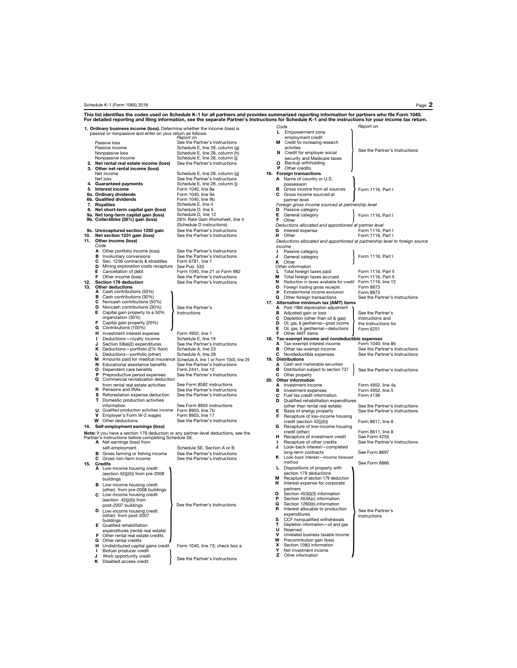#### Schedule K-1 (Form 1065) 2016 Page 2

|     | For detailed reporting and filing information, see the separate Partner's Instructions for Schedule K-1 and the instructions for your income tax return. | This list identifies the codes used on Schedule K-1 for all partners and provides summarized reporting information for partners who file Form 1040. |        |                                                                                           |                                                                             |
|-----|----------------------------------------------------------------------------------------------------------------------------------------------------------|-----------------------------------------------------------------------------------------------------------------------------------------------------|--------|-------------------------------------------------------------------------------------------|-----------------------------------------------------------------------------|
|     | 1. Ordinary business income (loss). Determine whether the income (loss) is                                                                               |                                                                                                                                                     |        | Code                                                                                      | Report on                                                                   |
|     | passive or nonpassive and enter on your return as follows.                                                                                               |                                                                                                                                                     |        | L Empowerment zone                                                                        |                                                                             |
|     | Passive loss                                                                                                                                             | Report on<br>See the Partner's Instructions                                                                                                         |        | employment credit<br>Credit for increasing research<br>м                                  |                                                                             |
|     | Passive income                                                                                                                                           | Schedule E, line 28, column (g)                                                                                                                     |        | activities                                                                                |                                                                             |
|     | Nonpassive loss                                                                                                                                          | Schedule E, line 28, column (h)                                                                                                                     |        | N<br>Credit for employer social                                                           | See the Partner's Instructions                                              |
|     | Nonpassive income                                                                                                                                        | Schedule E, line 28, column (j)                                                                                                                     |        | security and Medicare taxes                                                               |                                                                             |
|     | 2. Net rental real estate income (loss)                                                                                                                  | See the Partner's Instructions                                                                                                                      |        | о<br>Backup withholding<br>P                                                              |                                                                             |
|     | 3. Other net rental income (loss)<br>Net income                                                                                                          | Schedule E, line 28, column (g)                                                                                                                     |        | Other credits<br>16. Foreign transactions                                                 |                                                                             |
|     | Net loss                                                                                                                                                 | See the Partner's Instructions                                                                                                                      |        | A Name of country or U.S.                                                                 |                                                                             |
|     | 4. Guaranteed payments                                                                                                                                   | Schedule E, line 28, column (j)                                                                                                                     |        | possession                                                                                |                                                                             |
|     | 5. Interest income                                                                                                                                       | Form 1040, line 8a                                                                                                                                  | в      | Gross income from all sources                                                             | Form 1116, Part I                                                           |
|     | 6a. Ordinary dividends<br>6b. Qualified dividends                                                                                                        | Form 1040, line 9a<br>Form 1040, line 9b                                                                                                            | С      | Gross income sourced at<br>partner level                                                  |                                                                             |
|     | 7. Royalties                                                                                                                                             | Schedule E, line 4                                                                                                                                  |        | Foreign gross income sourced at partnership level                                         |                                                                             |
|     | 8. Net short-term capital gain (loss)                                                                                                                    | Schedule D, line 5                                                                                                                                  |        | D<br>Passive category                                                                     |                                                                             |
|     | 9a. Net long-term capital gain (loss)                                                                                                                    | Schedule D. line 12<br>28% Rate Gain Worksheet, line 4                                                                                              | E      | General category                                                                          | Form 1116, Part I                                                           |
|     | 9b. Collectibles (28%) gain (loss)                                                                                                                       | (Schedule D instructions)                                                                                                                           |        | F<br>Other<br>Deductions allocated and apportioned at partner level                       |                                                                             |
|     | 9c. Unrecaptured section 1250 gain                                                                                                                       | See the Partner's Instructions                                                                                                                      | G      | Interest expense                                                                          | Form 1116, Part I                                                           |
|     | 10. Net section 1231 gain (loss)                                                                                                                         | See the Partner's Instructions                                                                                                                      | н      | Other                                                                                     | Form 1116, Part I                                                           |
| 11. | Other income (loss)                                                                                                                                      |                                                                                                                                                     |        |                                                                                           | Deductions allocated and apportioned at partnership level to foreign source |
|     | Code<br>A Other portfolio income (loss)                                                                                                                  | See the Partner's Instructions                                                                                                                      |        | income                                                                                    |                                                                             |
|     | в<br>Involuntary conversions                                                                                                                             | See the Partner's Instructions                                                                                                                      | п<br>J | Passive category<br>General category                                                      | Form 1116, Part I                                                           |
|     | С<br>Sec. 1256 contracts & straddles                                                                                                                     | Form 6781, line 1                                                                                                                                   | κ      | Other                                                                                     |                                                                             |
|     | D<br>Mining exploration costs recapture                                                                                                                  | See Pub. 535                                                                                                                                        |        | Other information                                                                         |                                                                             |
|     | Е.<br>Cancellation of debt                                                                                                                               | Form 1040, line 21 or Form 982                                                                                                                      | L<br>м | Total foreign taxes paid                                                                  | Form 1116, Part II                                                          |
|     | F.<br>Other income (loss)<br>12. Section 179 deduction                                                                                                   | See the Partner's Instructions<br>See the Partner's Instructions                                                                                    | N      | Total foreign taxes accrued<br>Reduction in taxes available for credit Form 1116, line 12 | Form 1116, Part II                                                          |
|     | 13. Other deductions                                                                                                                                     |                                                                                                                                                     | о      | Foreign trading gross receipts                                                            | Form 8873                                                                   |
|     | A Cash contributions (50%)                                                                                                                               |                                                                                                                                                     | P      | Extraterritorial income exclusion                                                         | Form 8873                                                                   |
|     | Cash contributions (30%)<br>в<br>с<br>Noncash contributions (50%)                                                                                        |                                                                                                                                                     | O      | Other foreign transactions                                                                | See the Partner's Instructions                                              |
|     | D<br>Noncash contributions (30%)                                                                                                                         | See the Partner's                                                                                                                                   |        | 17. Alternative minimum tax (AMT) items<br>A Post-1986 depreciation adjustment            |                                                                             |
|     | Е<br>Capital gain property to a 50%                                                                                                                      | Instructions                                                                                                                                        |        | в<br>Adjusted gain or loss                                                                | See the Partner's                                                           |
|     | organization (30%)                                                                                                                                       |                                                                                                                                                     | С      | Depletion (other than oil & gas)                                                          | Instructions and                                                            |
|     | F<br>Capital gain property (20%)                                                                                                                         |                                                                                                                                                     | D      | Oil, gas, & geothermal-gross income                                                       | the Instructions for                                                        |
|     | G Contributions (100%)<br>н<br>Investment interest expense                                                                                               | Form 4952, line 1                                                                                                                                   |        | E.<br>Oil, gas, & geothermal-deductions<br>F.<br>Other AMT items                          | Form 6251                                                                   |
|     | ı.<br>Deductions-royalty income                                                                                                                          | Schedule E, line 19                                                                                                                                 |        | 18. Tax-exempt income and nondeductible expenses                                          |                                                                             |
|     | Section 59(e)(2) expenditures<br>J                                                                                                                       | See the Partner's Instructions                                                                                                                      |        | A Tax-exempt interest income                                                              | Form 1040, line 8b                                                          |
|     | K Deductions-portfolio (2% floor)                                                                                                                        | Schedule A, line 23                                                                                                                                 |        | Other tax-exempt income<br>в                                                              | See the Partner's Instructions                                              |
|     | Deductions-portfolio (other)<br>L.<br>м                                                                                                                  | Schedule A, line 28<br>Amounts paid for medical insurance Schedule A, line 1 or Form 1040, line 29                                                  |        | <b>C</b> Nondeductible expenses<br>19. Distributions                                      | See the Partner's Instructions                                              |
|     | Educational assistance benefits<br>N                                                                                                                     | See the Partner's Instructions                                                                                                                      |        | A Cash and marketable securities                                                          |                                                                             |
|     | о<br>Dependent care benefits                                                                                                                             | Form 2441, line 12                                                                                                                                  |        | Distribution subject to section 737<br>в                                                  | See the Partner's Instructions                                              |
|     | P<br>Preproductive period expenses<br>Commercial revitalization deduction<br>Q                                                                           | See the Partner's Instructions                                                                                                                      |        | С<br>Other property                                                                       |                                                                             |
|     | from rental real estate activities                                                                                                                       | See Form 8582 instructions                                                                                                                          |        | 20. Other information<br>A Investment income                                              | Form 4952, line 4a                                                          |
|     | Pensions and IRAs<br>R                                                                                                                                   | See the Partner's Instructions                                                                                                                      |        | в<br>Investment expenses                                                                  | Form 4952, line 5                                                           |
|     | s<br>Reforestation expense deduction                                                                                                                     | See the Partner's Instructions                                                                                                                      | С      | Fuel tax credit information                                                               | Form 4136                                                                   |
|     | <b>T</b> Domestic production activities<br>information                                                                                                   | See Form 8903 instructions                                                                                                                          | D      | Qualified rehabilitation expenditures                                                     |                                                                             |
|     | Qualified production activities income<br>U                                                                                                              | Form 8903, line 7b                                                                                                                                  | Е      | (other than rental real estate)<br>Basis of energy property                               | See the Partner's Instructions<br>See the Partner's Instructions            |
|     | v<br>Employer's Form W-2 wages                                                                                                                           | Form 8903, line 17                                                                                                                                  | F      | Recapture of low-income housing                                                           |                                                                             |
|     | W<br>Other deductions                                                                                                                                    | See the Partner's Instructions                                                                                                                      |        | credit (section 42(j)(5))                                                                 | Form 8611, line 8                                                           |
|     | 14. Self-employment earnings (loss)                                                                                                                      |                                                                                                                                                     |        | G<br>Recapture of low-income housing<br>credit (other)                                    |                                                                             |
|     | Note: If you have a section 179 deduction or any partner-level deductions, see the<br>Partner's Instructions before completing Schedule SE.              |                                                                                                                                                     | н      | Recapture of investment credit                                                            | Form 8611, line 8<br>See Form 4255                                          |
|     | A Net earnings (loss) from                                                                                                                               |                                                                                                                                                     | I.     | Recapture of other credits                                                                | See the Partner's Instructions                                              |
|     | self-employment                                                                                                                                          | Schedule SE, Section A or B                                                                                                                         | J      | Look-back interest-completed                                                              |                                                                             |
|     | Gross farming or fishing income<br>в                                                                                                                     | See the Partner's Instructions                                                                                                                      | κ      | long-term contracts<br>Look-back interest-income forecast                                 | See Form 8697                                                               |
|     | C Gross non-farm income<br>15. Credits                                                                                                                   | See the Partner's Instructions                                                                                                                      |        | method                                                                                    | See Form 8866                                                               |
|     | A Low-income housing credit                                                                                                                              |                                                                                                                                                     |        | L Dispositions of property with                                                           |                                                                             |
|     | (section 42(j)(5)) from pre-2008                                                                                                                         |                                                                                                                                                     |        | section 179 deductions                                                                    |                                                                             |
|     | buildings                                                                                                                                                |                                                                                                                                                     | м<br>N | Recapture of section 179 deduction<br>Interest expense for corporate                      |                                                                             |
|     | <b>B</b> Low-income housing credit<br>(other) from pre-2008 buildings                                                                                    |                                                                                                                                                     |        | partners                                                                                  |                                                                             |
|     | C Low-income housing credit                                                                                                                              |                                                                                                                                                     | О      | Section 453(I)(3) information                                                             |                                                                             |
|     | (section $42(j)(5)$ ) from                                                                                                                               |                                                                                                                                                     | Ρ      | Section 453A(c) information                                                               |                                                                             |
|     | post-2007 buildings                                                                                                                                      | See the Partner's Instructions                                                                                                                      | Q<br>R | Section 1260(b) information<br>Interest allocable to production                           |                                                                             |
|     | D Low-income housing credit<br>(other) from post-2007                                                                                                    |                                                                                                                                                     |        | expenditures                                                                              | See the Partner's<br>Instructions                                           |
|     | buildings                                                                                                                                                |                                                                                                                                                     | s      | CCF nonqualified withdrawals                                                              |                                                                             |
|     | E Qualified rehabilitation                                                                                                                               |                                                                                                                                                     | Т      | Depletion information-oil and gas                                                         |                                                                             |
|     | expenditures (rental real estate)<br>F                                                                                                                   |                                                                                                                                                     | U<br>v | Reserved<br>Unrelated business taxable income                                             |                                                                             |
|     | Other rental real estate credits<br><b>G</b> Other rental credits                                                                                        |                                                                                                                                                     | W      | Precontribution gain (loss)                                                               |                                                                             |
|     | H Undistributed capital gains credit                                                                                                                     | Form 1040, line 73; check box a                                                                                                                     | x      | Section 108(i) information                                                                |                                                                             |
|     | Ι.<br>Biofuel producer credit                                                                                                                            |                                                                                                                                                     | Y      | Net investment income<br>z<br>Other information                                           |                                                                             |
|     | Work opportunity credit<br>J<br>K Disabled access credit                                                                                                 | See the Partner's Instructions                                                                                                                      |        |                                                                                           |                                                                             |
|     |                                                                                                                                                          |                                                                                                                                                     |        |                                                                                           |                                                                             |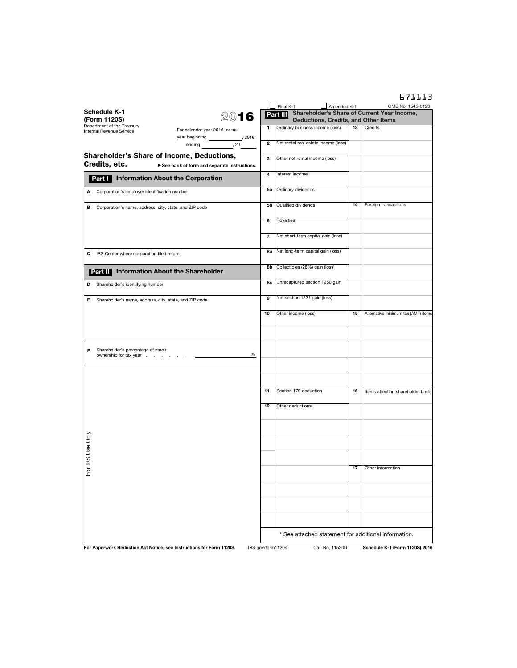|                                                                                                                                                                          |                 | 671113                                                                                                          |
|--------------------------------------------------------------------------------------------------------------------------------------------------------------------------|-----------------|-----------------------------------------------------------------------------------------------------------------|
| $\Box$ Final K-1<br><b>Schedule K-1</b><br>Part III<br>2016<br>(Form 1120S)                                                                                              | Amended K-1     | OMB No. 1545-0123<br>Shareholder's Share of Current Year Income,<br><b>Deductions, Credits, and Other Items</b> |
| Department of the Treasury<br>Ordinary business income (loss)<br>1<br>For calendar year 2016, or tax<br>Internal Revenue Service<br>year beginning _______________, 2016 | 13              | Credits                                                                                                         |
| Net rental real estate income (loss)<br>2<br>ending , 20                                                                                                                 |                 |                                                                                                                 |
| <b>Shareholder's Share of Income, Deductions,</b><br>з<br>Other net rental income (loss)<br>Credits, etc.<br>See back of form and separate instructions.                 |                 |                                                                                                                 |
| Interest income<br>4<br>Part   Information About the Corporation                                                                                                         |                 |                                                                                                                 |
| Ordinary dividends<br>5a<br>A Corporation's employer identification number                                                                                               |                 |                                                                                                                 |
| Qualified dividends<br>5b<br>B Corporation's name, address, city, state, and ZIP code                                                                                    | 14              | Foreign transactions                                                                                            |
| Royalties<br>6                                                                                                                                                           |                 |                                                                                                                 |
| Net short-term capital gain (loss)<br>7                                                                                                                                  |                 |                                                                                                                 |
| Net long-term capital gain (loss)<br>8a<br>IRS Center where corporation filed return<br>С                                                                                |                 |                                                                                                                 |
| Collectibles (28%) gain (loss)<br>8b<br><b>Information About the Shareholder</b><br>Part II                                                                              |                 |                                                                                                                 |
| Unrecaptured section 1250 gain<br>8c<br>Shareholder's identifying number<br>D                                                                                            |                 |                                                                                                                 |
| Net section 1231 gain (loss)<br>9<br>Е<br>Shareholder's name, address, city, state, and ZIP code                                                                         |                 |                                                                                                                 |
| 10<br>Other income (loss)                                                                                                                                                | 15              | Alternative minimum tax (AMT) items                                                                             |
|                                                                                                                                                                          |                 |                                                                                                                 |
| Shareholder's percentage of stock<br>F<br>%<br>ownership for tax year                                                                                                    |                 |                                                                                                                 |
| Section 179 deduction<br>11                                                                                                                                              | 16              | Items affecting shareholder basis                                                                               |
| 12<br>Other deductions                                                                                                                                                   |                 |                                                                                                                 |
|                                                                                                                                                                          |                 |                                                                                                                 |
| IRS Use Only                                                                                                                                                             |                 |                                                                                                                 |
| 요                                                                                                                                                                        | 17              | Other information                                                                                               |
|                                                                                                                                                                          |                 |                                                                                                                 |
|                                                                                                                                                                          |                 |                                                                                                                 |
|                                                                                                                                                                          |                 |                                                                                                                 |
| For Paperwork Reduction Act Notice, see Instructions for Form 1120S.<br>IRS.gov/form1120s                                                                                | Cat. No. 11520D | * See attached statement for additional information.<br>Schedule K-1 (Form 1120S) 2016                          |